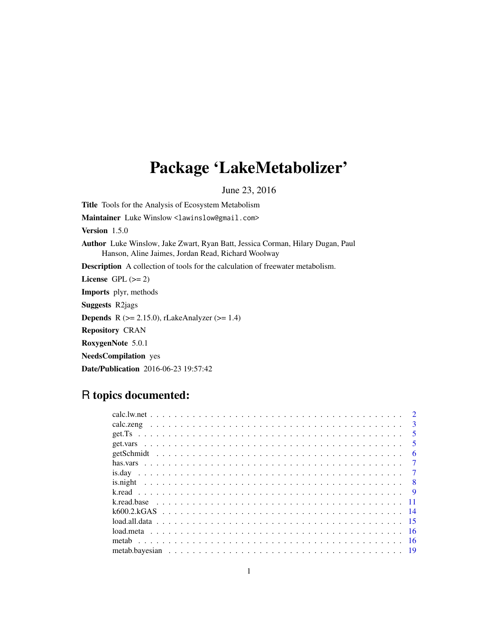## Package 'LakeMetabolizer'

June 23, 2016

<span id="page-0-0"></span>Title Tools for the Analysis of Ecosystem Metabolism Maintainer Luke Winslow <lawinslow@gmail.com> Version 1.5.0 Author Luke Winslow, Jake Zwart, Ryan Batt, Jessica Corman, Hilary Dugan, Paul Hanson, Aline Jaimes, Jordan Read, Richard Woolway Description A collection of tools for the calculation of freewater metabolism. License GPL  $(>= 2)$ Imports plyr, methods Suggests R2jags **Depends** R ( $>= 2.15.0$ ), rLakeAnalyzer ( $>= 1.4$ ) Repository CRAN RoxygenNote 5.0.1 NeedsCompilation yes Date/Publication 2016-06-23 19:57:42

## R topics documented:

|  |  |  |  |  |  |  |  |  |  |  |  |  |  |  |  |  |  |  |  | $\mathcal{D}$  |
|--|--|--|--|--|--|--|--|--|--|--|--|--|--|--|--|--|--|--|--|----------------|
|  |  |  |  |  |  |  |  |  |  |  |  |  |  |  |  |  |  |  |  | $\mathbf{3}$   |
|  |  |  |  |  |  |  |  |  |  |  |  |  |  |  |  |  |  |  |  | -5             |
|  |  |  |  |  |  |  |  |  |  |  |  |  |  |  |  |  |  |  |  | -5             |
|  |  |  |  |  |  |  |  |  |  |  |  |  |  |  |  |  |  |  |  | 6              |
|  |  |  |  |  |  |  |  |  |  |  |  |  |  |  |  |  |  |  |  | $\overline{7}$ |
|  |  |  |  |  |  |  |  |  |  |  |  |  |  |  |  |  |  |  |  | $\overline{7}$ |
|  |  |  |  |  |  |  |  |  |  |  |  |  |  |  |  |  |  |  |  |                |
|  |  |  |  |  |  |  |  |  |  |  |  |  |  |  |  |  |  |  |  | $\overline{9}$ |
|  |  |  |  |  |  |  |  |  |  |  |  |  |  |  |  |  |  |  |  |                |
|  |  |  |  |  |  |  |  |  |  |  |  |  |  |  |  |  |  |  |  |                |
|  |  |  |  |  |  |  |  |  |  |  |  |  |  |  |  |  |  |  |  |                |
|  |  |  |  |  |  |  |  |  |  |  |  |  |  |  |  |  |  |  |  |                |
|  |  |  |  |  |  |  |  |  |  |  |  |  |  |  |  |  |  |  |  |                |
|  |  |  |  |  |  |  |  |  |  |  |  |  |  |  |  |  |  |  |  |                |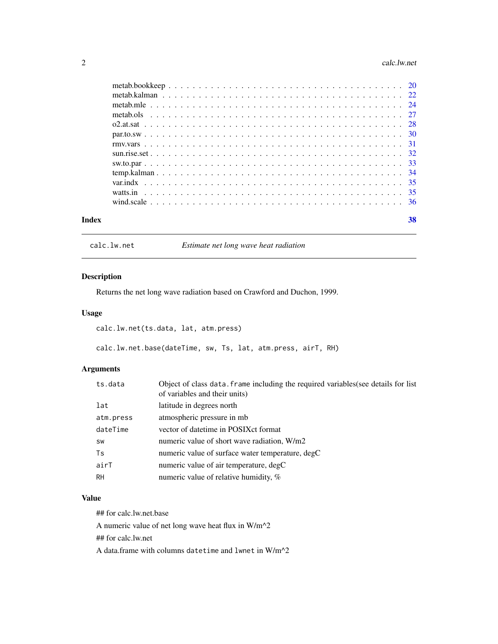#### <span id="page-1-0"></span>2 calc.lw.net

| Index | 38 |
|-------|----|

calc.lw.net *Estimate net long wave heat radiation*

## Description

Returns the net long wave radiation based on Crawford and Duchon, 1999.

## Usage

calc.lw.net(ts.data, lat, atm.press)

calc.lw.net.base(dateTime, sw, Ts, lat, atm.press, airT, RH)

## Arguments

| ts.data   | Object of class data. frame including the required variables (see details for list<br>of variables and their units) |
|-----------|---------------------------------------------------------------------------------------------------------------------|
| lat       | latitude in degrees north.                                                                                          |
| atm.press | atmospheric pressure in mb                                                                                          |
| dateTime  | vector of date time in POSIX ct format                                                                              |
| SW        | numeric value of short wave radiation, W/m2                                                                         |
| Ts        | numeric value of surface water temperature, degC                                                                    |
| airT      | numeric value of air temperature, degC                                                                              |
| <b>RH</b> | numeric value of relative humidity, $%$                                                                             |

## Value

## for calc.lw.net.base

A numeric value of net long wave heat flux in W/m^2

## for calc.lw.net

A data.frame with columns datetime and lwnet in W/m^2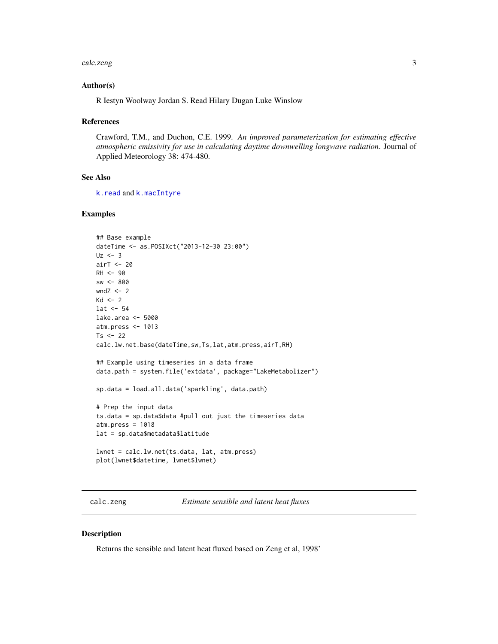#### <span id="page-2-0"></span>calc.zeng 3

#### Author(s)

R Iestyn Woolway Jordan S. Read Hilary Dugan Luke Winslow

#### References

Crawford, T.M., and Duchon, C.E. 1999. *An improved parameterization for estimating effective atmospheric emissivity for use in calculating daytime downwelling longwave radiation*. Journal of Applied Meteorology 38: 474-480.

#### See Also

[k.read](#page-8-1) and [k.macIntyre](#page-8-2)

#### Examples

```
## Base example
dateTime <- as.POSIXct("2013-12-30 23:00")
Uz <- 3
airT <- 20
RH <- 90
sw < - 800wndZ < -2Kd \leq -2lat < -54lake.area <- 5000
atm.press <- 1013
Ts <-22calc.lw.net.base(dateTime,sw,Ts,lat,atm.press,airT,RH)
## Example using timeseries in a data frame
data.path = system.file('extdata', package="LakeMetabolizer")
sp.data = load.all.data('sparkling', data.path)
# Prep the input data
ts.data = sp.data$data #pull out just the timeseries data
atm.press = 1018
lat = sp.data$metadata$latitude
lwnet = calc.lw.net(ts.data, lat, atm.press)
plot(lwnet$datetime, lwnet$lwnet)
```
calc.zeng *Estimate sensible and latent heat fluxes*

#### Description

Returns the sensible and latent heat fluxed based on Zeng et al, 1998'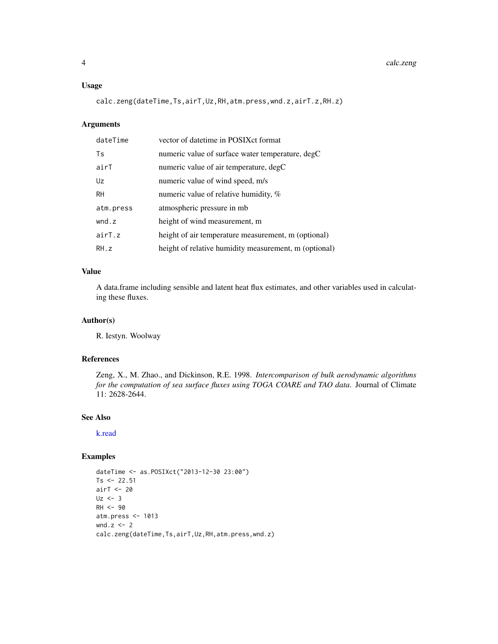#### <span id="page-3-0"></span>Usage

calc.zeng(dateTime,Ts,airT,Uz,RH,atm.press,wnd.z,airT.z,RH.z)

## Arguments

| dateTime  | vector of date time in POSIX ct format                |
|-----------|-------------------------------------------------------|
| Ts        | numeric value of surface water temperature, degC      |
| airT      | numeric value of air temperature, degC                |
| Uz        | numeric value of wind speed, m/s                      |
| <b>RH</b> | numeric value of relative humidity, %                 |
| atm.press | atmospheric pressure in mb                            |
| wnd.z     | height of wind measurement, m                         |
| airT.z    | height of air temperature measurement, m (optional)   |
| RH.z      | height of relative humidity measurement, m (optional) |

## Value

A data.frame including sensible and latent heat flux estimates, and other variables used in calculating these fluxes.

#### Author(s)

R. Iestyn. Woolway

#### References

Zeng, X., M. Zhao., and Dickinson, R.E. 1998. *Intercomparison of bulk aerodynamic algorithms for the computation of sea surface fluxes using TOGA COARE and TAO data*. Journal of Climate 11: 2628-2644.

## See Also

[k.read](#page-8-1)

```
dateTime <- as.POSIXct("2013-12-30 23:00")
Ts <- 22.51
airT <- 20
Uz \leq -3RH <- 90
atm.press <- 1013
wnd.z < -2calc.zeng(dateTime,Ts,airT,Uz,RH,atm.press,wnd.z)
```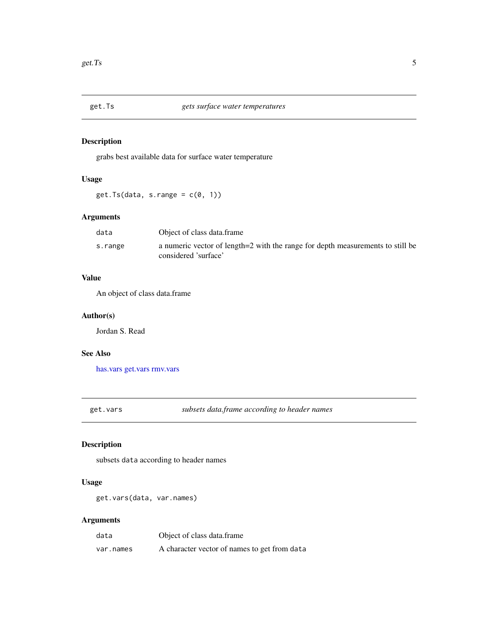<span id="page-4-0"></span>

grabs best available data for surface water temperature

## Usage

 $get.Ts(data, s.random = c(0, 1))$ 

## Arguments

| data    | Object of class data.frame                                                                             |
|---------|--------------------------------------------------------------------------------------------------------|
| s.range | a numeric vector of length=2 with the range for depth measurements to still be<br>considered 'surface' |

## Value

An object of class data.frame

#### Author(s)

Jordan S. Read

## See Also

[has.vars](#page-6-1) [get.vars](#page-4-1) [rmv.vars](#page-30-1)

<span id="page-4-1"></span>get.vars *subsets data.frame according to header names*

## Description

subsets data according to header names

## Usage

get.vars(data, var.names)

#### Arguments

| data      | Object of class data.frame                   |
|-----------|----------------------------------------------|
| var.names | A character vector of names to get from data |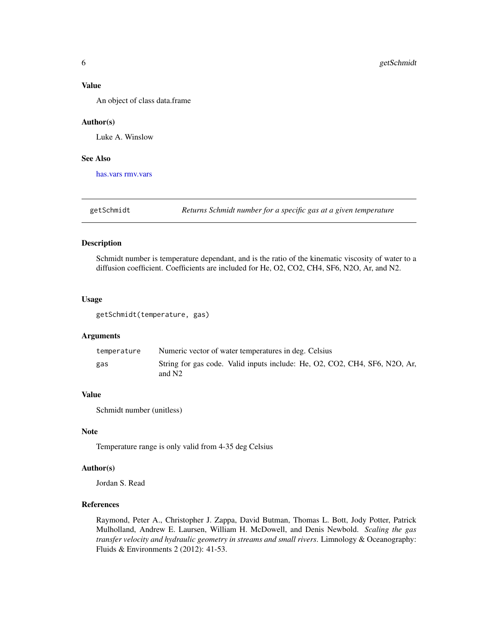#### <span id="page-5-0"></span>Value

An object of class data.frame

#### Author(s)

Luke A. Winslow

#### See Also

[has.vars](#page-6-1) [rmv.vars](#page-30-1)

getSchmidt *Returns Schmidt number for a specific gas at a given temperature*

#### Description

Schmidt number is temperature dependant, and is the ratio of the kinematic viscosity of water to a diffusion coefficient. Coefficients are included for He, O2, CO2, CH4, SF6, N2O, Ar, and N2.

## Usage

getSchmidt(temperature, gas)

## Arguments

| temperature | Numeric vector of water temperatures in deg. Celsius                                             |
|-------------|--------------------------------------------------------------------------------------------------|
| gas         | String for gas code. Valid inputs include: He, O2, CO2, CH4, SF6, N2O, Ar,<br>and N <sub>2</sub> |

#### Value

Schmidt number (unitless)

#### Note

Temperature range is only valid from 4-35 deg Celsius

## Author(s)

Jordan S. Read

## References

Raymond, Peter A., Christopher J. Zappa, David Butman, Thomas L. Bott, Jody Potter, Patrick Mulholland, Andrew E. Laursen, William H. McDowell, and Denis Newbold. *Scaling the gas transfer velocity and hydraulic geometry in streams and small rivers*. Limnology & Oceanography: Fluids & Environments 2 (2012): 41-53.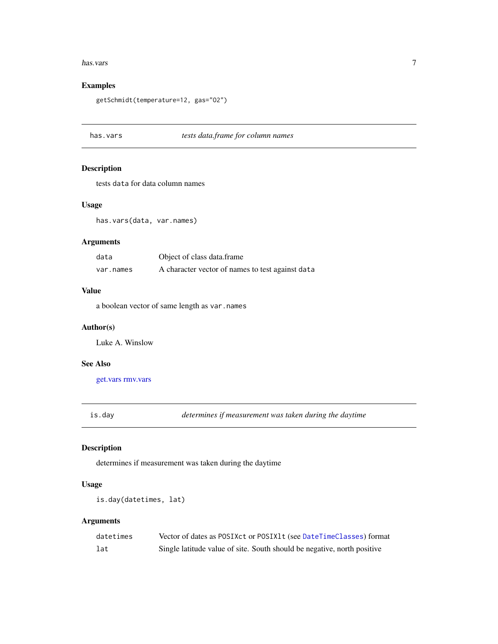#### <span id="page-6-0"></span>has.vars 7

## Examples

getSchmidt(temperature=12, gas="O2")

## <span id="page-6-1"></span>has.vars *tests data.frame for column names*

## Description

tests data for data column names

## Usage

has.vars(data, var.names)

## Arguments

| data      | Object of class data.frame                       |
|-----------|--------------------------------------------------|
| var.names | A character vector of names to test against data |

## Value

a boolean vector of same length as var.names

## Author(s)

Luke A. Winslow

## See Also

[get.vars](#page-4-1) [rmv.vars](#page-30-1)

<span id="page-6-2"></span>is.day *determines if measurement was taken during the daytime*

## Description

determines if measurement was taken during the daytime

## Usage

```
is.day(datetimes, lat)
```
#### Arguments

| datetimes | Vector of dates as POSIXct or POSIX1t (see DateTimeClasses) format      |
|-----------|-------------------------------------------------------------------------|
| lat       | Single latitude value of site. South should be negative, north positive |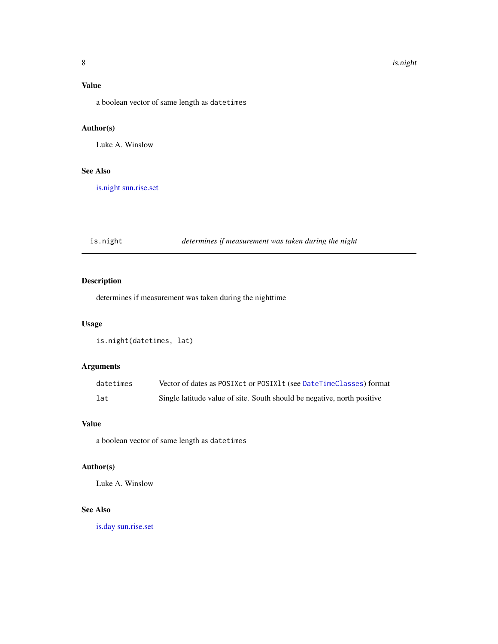## <span id="page-7-0"></span>Value

a boolean vector of same length as datetimes

## Author(s)

Luke A. Winslow

## See Also

[is.night](#page-7-1) [sun.rise.set](#page-31-1)

<span id="page-7-1"></span>is.night *determines if measurement was taken during the night*

## Description

determines if measurement was taken during the nighttime

#### Usage

```
is.night(datetimes, lat)
```
## Arguments

| datetimes | Vector of dates as POSIXct or POSIX1t (see DateTimeClasses) format      |
|-----------|-------------------------------------------------------------------------|
| lat       | Single latitude value of site. South should be negative, north positive |

### Value

a boolean vector of same length as datetimes

## Author(s)

Luke A. Winslow

## See Also

[is.day](#page-6-2) [sun.rise.set](#page-31-1)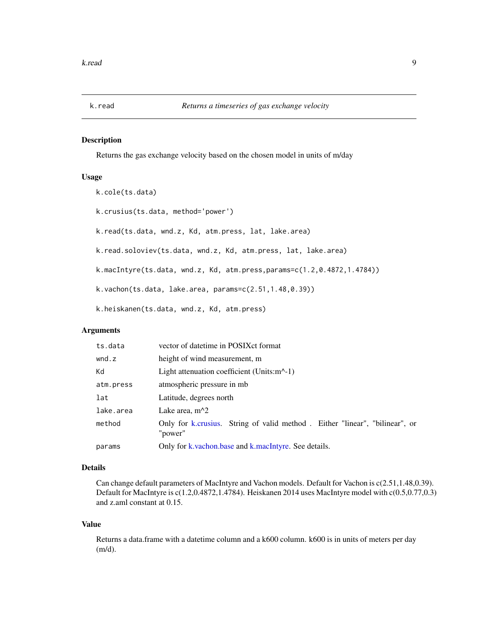<span id="page-8-2"></span><span id="page-8-1"></span><span id="page-8-0"></span>

Returns the gas exchange velocity based on the chosen model in units of m/day

#### Usage

```
k.cole(ts.data)
k.crusius(ts.data, method='power')
k.read(ts.data, wnd.z, Kd, atm.press, lat, lake.area)
k.read.soloviev(ts.data, wnd.z, Kd, atm.press, lat, lake.area)
k.macIntyre(ts.data, wnd.z, Kd, atm.press,params=c(1.2,0.4872,1.4784))
k.vachon(ts.data, lake.area, params=c(2.51,1.48,0.39))
k.heiskanen(ts.data, wnd.z, Kd, atm.press)
```
## Arguments

| ts.data   | vector of date time in POSIX ct format                                                 |  |  |  |
|-----------|----------------------------------------------------------------------------------------|--|--|--|
| wnd.z     | height of wind measurement, m                                                          |  |  |  |
| Κd        | Light attenuation coefficient (Units: $m^{-1}$ )                                       |  |  |  |
| atm.press | atmospheric pressure in mb                                                             |  |  |  |
| lat       | Latitude, degrees north                                                                |  |  |  |
| lake.area | Lake area, $m^2$                                                                       |  |  |  |
| method    | Only for k.crusius. String of valid method. Either "linear", "bilinear", or<br>"power" |  |  |  |
| params    | Only for k.vachon.base and k.macIntyre. See details.                                   |  |  |  |

#### Details

Can change default parameters of MacIntyre and Vachon models. Default for Vachon is c(2.51,1.48,0.39). Default for MacIntyre is c(1.2,0.4872,1.4784). Heiskanen 2014 uses MacIntyre model with c(0.5,0.77,0.3) and z.aml constant at 0.15.

#### Value

Returns a data.frame with a datetime column and a k600 column. k600 is in units of meters per day (m/d).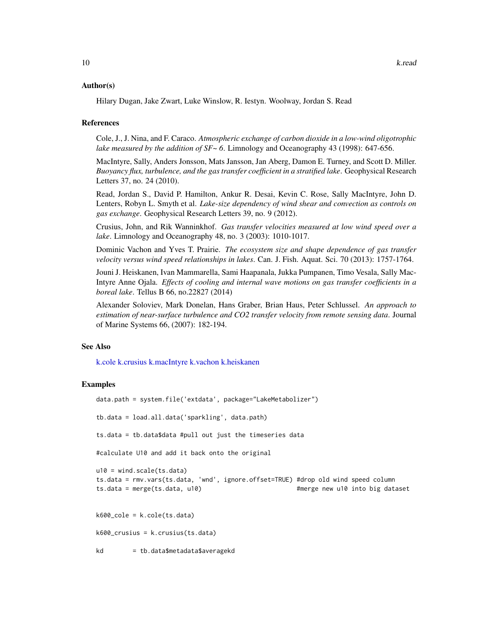#### <span id="page-9-0"></span>Author(s)

Hilary Dugan, Jake Zwart, Luke Winslow, R. Iestyn. Woolway, Jordan S. Read

#### References

Cole, J., J. Nina, and F. Caraco. *Atmospheric exchange of carbon dioxide in a low-wind oligotrophic lake measured by the addition of SF~ 6*. Limnology and Oceanography 43 (1998): 647-656.

MacIntyre, Sally, Anders Jonsson, Mats Jansson, Jan Aberg, Damon E. Turney, and Scott D. Miller. *Buoyancy flux, turbulence, and the gas transfer coefficient in a stratified lake*. Geophysical Research Letters 37, no. 24 (2010).

Read, Jordan S., David P. Hamilton, Ankur R. Desai, Kevin C. Rose, Sally MacIntyre, John D. Lenters, Robyn L. Smyth et al. *Lake-size dependency of wind shear and convection as controls on gas exchange*. Geophysical Research Letters 39, no. 9 (2012).

Crusius, John, and Rik Wanninkhof. *Gas transfer velocities measured at low wind speed over a lake*. Limnology and Oceanography 48, no. 3 (2003): 1010-1017.

Dominic Vachon and Yves T. Prairie. *The ecosystem size and shape dependence of gas transfer velocity versus wind speed relationships in lakes*. Can. J. Fish. Aquat. Sci. 70 (2013): 1757-1764.

Jouni J. Heiskanen, Ivan Mammarella, Sami Haapanala, Jukka Pumpanen, Timo Vesala, Sally Mac-Intyre Anne Ojala. *Effects of cooling and internal wave motions on gas transfer coefficients in a boreal lake*. Tellus B 66, no.22827 (2014)

Alexander Soloviev, Mark Donelan, Hans Graber, Brian Haus, Peter Schlussel. *An approach to estimation of near-surface turbulence and CO2 transfer velocity from remote sensing data*. Journal of Marine Systems 66, (2007): 182-194.

#### See Also

[k.cole](#page-8-2) [k.crusius](#page-8-2) [k.macIntyre](#page-8-2) [k.vachon](#page-8-2) [k.heiskanen](#page-8-2)

```
data.path = system.file('extdata', package="LakeMetabolizer")
tb.data = load.all.data('sparkling', data.path)
ts.data = tb.data$data #pull out just the timeseries data
#calculate U10 and add it back onto the original
u10 = wind.scale(ts.data)
ts.data = rmv.vars(ts.data, 'wnd', ignore.offset=TRUE) #drop old wind speed column
ts.data = merge(ts.data, u10) #merge new u10 into big dataset
k600 cole = k.close(ts.data)k600_crusius = k.crusius(ts.data)
kd = tb.data$metadata$averagekd
```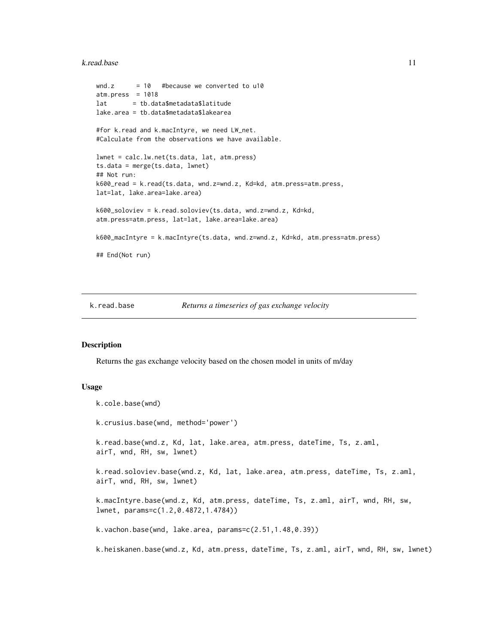#### <span id="page-10-0"></span>k.read.base 11

```
wnd.z = 10 #because we converted to u10
atm.press = 1018lat = tb.data$metadata$latitude
lake.area = tb.data$metadata$lakearea
#for k.read and k.macIntyre, we need LW_net.
#Calculate from the observations we have available.
lwnet = calc.lw.net(ts.data, lat, atm.press)
ts.data = merge(ts.data, lwnet)
## Not run:
k600_read = k.read(ts.data, wnd.z=wnd.z, Kd=kd, atm.press=atm.press,
lat=lat, lake.area=lake.area)
k600_soloviev = k.read.soloviev(ts.data, wnd.z=wnd.z, Kd=kd,
atm.press=atm.press, lat=lat, lake.area=lake.area)
k600_macIntyre = k.macIntyre(ts.data, wnd.z=wnd.z, Kd=kd, atm.press=atm.press)
## End(Not run)
```
<span id="page-10-2"></span>

k.cole.base(wnd)

#### k.read.base *Returns a timeseries of gas exchange velocity*

#### <span id="page-10-1"></span>Description

Returns the gas exchange velocity based on the chosen model in units of m/day

#### Usage

```
k.crusius.base(wnd, method='power')
k.read.base(wnd.z, Kd, lat, lake.area, atm.press, dateTime, Ts, z.aml,
airT, wnd, RH, sw, lwnet)
k.read.soloviev.base(wnd.z, Kd, lat, lake.area, atm.press, dateTime, Ts, z.aml,
airT, wnd, RH, sw, lwnet)
k.macIntyre.base(wnd.z, Kd, atm.press, dateTime, Ts, z.aml, airT, wnd, RH, sw,
lwnet, params=c(1.2,0.4872,1.4784))
k.vachon.base(wnd, lake.area, params=c(2.51,1.48,0.39))
k.heiskanen.base(wnd.z, Kd, atm.press, dateTime, Ts, z.aml, airT, wnd, RH, sw, lwnet)
```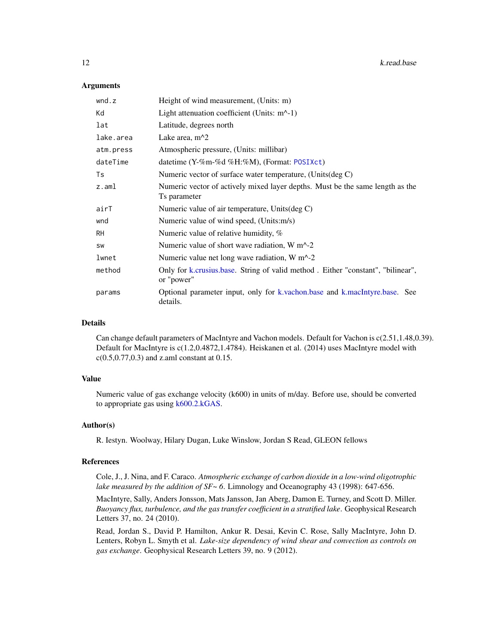#### Arguments

| wnd.z     | Height of wind measurement, (Units: m)                                                        |
|-----------|-----------------------------------------------------------------------------------------------|
| Kd        | Light attenuation coefficient (Units: $m^{-1}$ )                                              |
| lat       | Latitude, degrees north                                                                       |
| lake.area | Lake area, $m^2$                                                                              |
| atm.press | Atmospheric pressure, (Units: millibar)                                                       |
| dateTime  | datetime $(Y-\%m-\%d\%H:\%M)$ , (Format: POSIXct)                                             |
| Ts        | Numeric vector of surface water temperature, (Units(deg C)                                    |
| z.aml     | Numeric vector of actively mixed layer depths. Must be the same length as the<br>Ts parameter |
| airT      | Numeric value of air temperature, Units(deg C)                                                |
| wnd       | Numeric value of wind speed, (Units:m/s)                                                      |
| <b>RH</b> | Numeric value of relative humidity, $%$                                                       |
| SW        | Numeric value of short wave radiation, $W m^2$ -2                                             |
| lwnet     | Numeric value net long wave radiation, $W m^2$ -2                                             |
| method    | Only for k.crusius.base. String of valid method. Either "constant", "bilinear",<br>or "power" |
| params    | Optional parameter input, only for k.vachon.base and k.macIntyre.base. See<br>details.        |

#### Details

Can change default parameters of MacIntyre and Vachon models. Default for Vachon is c(2.51,1.48,0.39). Default for MacIntyre is c(1.2,0.4872,1.4784). Heiskanen et al. (2014) uses MacIntyre model with c(0.5,0.77,0.3) and z.aml constant at 0.15.

#### Value

Numeric value of gas exchange velocity (k600) in units of m/day. Before use, should be converted to appropriate gas using [k600.2.kGAS.](#page-13-1)

#### Author(s)

R. Iestyn. Woolway, Hilary Dugan, Luke Winslow, Jordan S Read, GLEON fellows

#### References

Cole, J., J. Nina, and F. Caraco. *Atmospheric exchange of carbon dioxide in a low-wind oligotrophic lake measured by the addition of SF~ 6*. Limnology and Oceanography 43 (1998): 647-656.

MacIntyre, Sally, Anders Jonsson, Mats Jansson, Jan Aberg, Damon E. Turney, and Scott D. Miller. *Buoyancy flux, turbulence, and the gas transfer coefficient in a stratified lake*. Geophysical Research Letters 37, no. 24 (2010).

Read, Jordan S., David P. Hamilton, Ankur R. Desai, Kevin C. Rose, Sally MacIntyre, John D. Lenters, Robyn L. Smyth et al. *Lake-size dependency of wind shear and convection as controls on gas exchange*. Geophysical Research Letters 39, no. 9 (2012).

<span id="page-11-0"></span>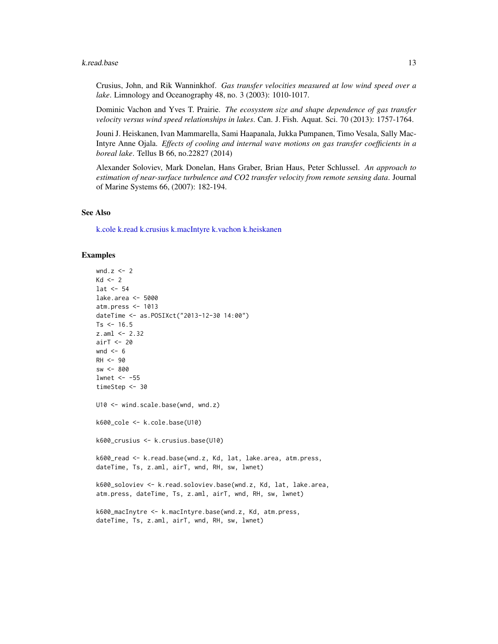#### <span id="page-12-0"></span>k.read.base 13

Crusius, John, and Rik Wanninkhof. *Gas transfer velocities measured at low wind speed over a lake*. Limnology and Oceanography 48, no. 3 (2003): 1010-1017.

Dominic Vachon and Yves T. Prairie. *The ecosystem size and shape dependence of gas transfer velocity versus wind speed relationships in lakes*. Can. J. Fish. Aquat. Sci. 70 (2013): 1757-1764.

Jouni J. Heiskanen, Ivan Mammarella, Sami Haapanala, Jukka Pumpanen, Timo Vesala, Sally Mac-Intyre Anne Ojala. *Effects of cooling and internal wave motions on gas transfer coefficients in a boreal lake*. Tellus B 66, no.22827 (2014)

Alexander Soloviev, Mark Donelan, Hans Graber, Brian Haus, Peter Schlussel. *An approach to estimation of near-surface turbulence and CO2 transfer velocity from remote sensing data*. Journal of Marine Systems 66, (2007): 182-194.

#### See Also

[k.cole](#page-8-2) [k.read](#page-8-1) [k.crusius](#page-8-2) [k.macIntyre](#page-8-2) [k.vachon](#page-8-2) [k.heiskanen](#page-8-2)

```
wnd.z \leq - 2
Kd \leq -2lat <-54lake.area <- 5000
atm.press <- 1013
dateTime <- as.POSIXct("2013-12-30 14:00")
Ts < -16.5z.aml <- 2.32
airT <- 20
wnd <-6RH < -90sw <- 800
lwnet <- -55
timeStep <- 30
U10 <- wind.scale.base(wnd, wnd.z)
k600_cole <- k.cole.base(U10)
k600_crusius <- k.crusius.base(U10)
k600_read <- k.read.base(wnd.z, Kd, lat, lake.area, atm.press,
dateTime, Ts, z.aml, airT, wnd, RH, sw, lwnet)
k600_soloviev <- k.read.soloviev.base(wnd.z, Kd, lat, lake.area,
atm.press, dateTime, Ts, z.aml, airT, wnd, RH, sw, lwnet)
k600_macInytre <- k.macIntyre.base(wnd.z, Kd, atm.press,
```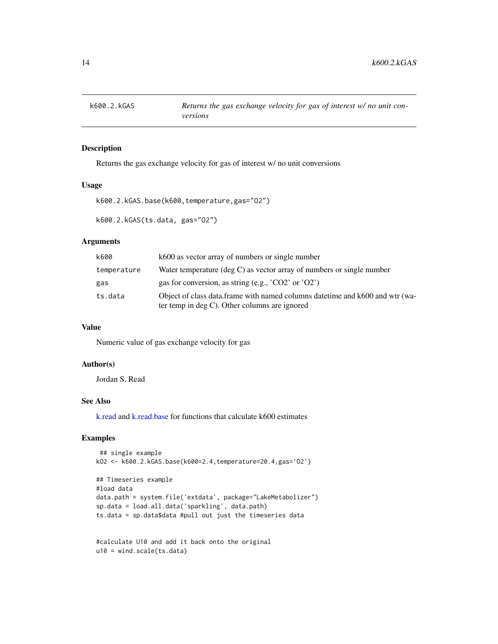<span id="page-13-1"></span><span id="page-13-0"></span>

Returns the gas exchange velocity for gas of interest w/ no unit conversions

#### Usage

```
k600.2.kGAS.base(k600,temperature,gas="O2")
```
k600.2.kGAS(ts.data, gas="O2")

## Arguments

| k600        | k600 as vector array of numbers or single number                                                                               |
|-------------|--------------------------------------------------------------------------------------------------------------------------------|
| temperature | Water temperature (deg C) as vector array of numbers or single number                                                          |
| gas         | gas for conversion, as string (e.g., $^{\prime}CO2^{\prime}$ or $^{\prime}O2^{\prime}$ )                                       |
| ts.data     | Object of class data.frame with named columns date time and k600 and wtr (wa-<br>ter temp in deg C). Other columns are ignored |

## Value

Numeric value of gas exchange velocity for gas

#### Author(s)

Jordan S. Read

## See Also

[k.read](#page-8-1) and [k.read.base](#page-10-2) for functions that calculate k600 estimates

```
## single example
kO2 <- k600.2.kGAS.base(k600=2.4,temperature=20.4,gas='O2')
```

```
## Timeseries example
#load data
data.path = system.file('extdata', package="LakeMetabolizer")
sp.data = load.all.data('sparkling', data.path)
ts.data = sp.data$data #pull out just the timeseries data
```

```
#calculate U10 and add it back onto the original
u10 = wind.scale(ts.data)
```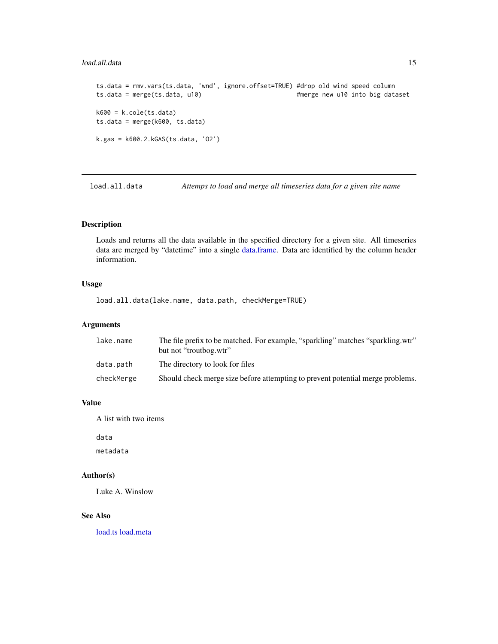#### <span id="page-14-0"></span>load.all.data 15

```
ts.data = rmv.vars(ts.data, 'wnd', ignore.offset=TRUE) #drop old wind speed column
ts.data = merge(ts.data, u10) #merge new u10 into big dataset
k600 = k.close(ts.data)ts.data = merge(k600, ts.data)
k.gas = k600.2.kGAS(ts.data, 'O2')
```
<span id="page-14-1"></span>load.all.data *Attemps to load and merge all timeseries data for a given site name*

## Description

Loads and returns all the data available in the specified directory for a given site. All timeseries data are merged by "datetime" into a single [data.frame.](#page-0-0) Data are identified by the column header information.

## Usage

load.all.data(lake.name, data.path, checkMerge=TRUE)

#### Arguments

| lake.name  | The file prefix to be matched. For example, "sparkling" matches "sparkling.wtr"<br>but not "troutbog.wtr" |
|------------|-----------------------------------------------------------------------------------------------------------|
| data.path  | The directory to look for files                                                                           |
| checkMerge | Should check merge size before attempting to prevent potential merge problems.                            |

## Value

A list with two items

data

metadata

## Author(s)

Luke A. Winslow

## See Also

[load.ts](#page-0-0) [load.meta](#page-15-1)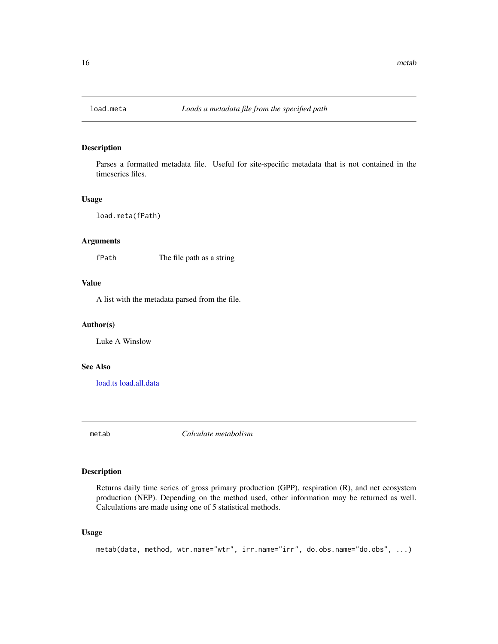<span id="page-15-1"></span><span id="page-15-0"></span>

Parses a formatted metadata file. Useful for site-specific metadata that is not contained in the timeseries files.

#### Usage

load.meta(fPath)

## Arguments

fPath The file path as a string

#### Value

A list with the metadata parsed from the file.

#### Author(s)

Luke A Winslow

## See Also

[load.ts](#page-0-0) [load.all.data](#page-14-1)

<span id="page-15-2"></span>metab *Calculate metabolism*

## Description

Returns daily time series of gross primary production (GPP), respiration (R), and net ecosystem production (NEP). Depending on the method used, other information may be returned as well. Calculations are made using one of 5 statistical methods.

## Usage

```
metab(data, method, wtr.name="wtr", irr.name="irr", do.obs.name="do.obs", ...)
```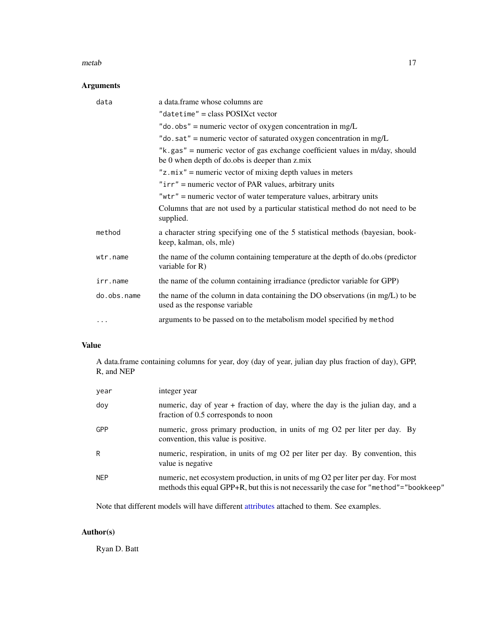#### <span id="page-16-0"></span>metab and the contract of the contract of the contract of the contract of the contract of the contract of the contract of the contract of the contract of the contract of the contract of the contract of the contract of the

## Arguments

| data        | a data.frame whose columns are                                                                                                      |
|-------------|-------------------------------------------------------------------------------------------------------------------------------------|
|             | "datetime" = class POSIXct vector                                                                                                   |
|             | "do.obs" = numeric vector of oxygen concentration in $mg/L$                                                                         |
|             | "do. sat" = numeric vector of saturated oxygen concentration in mg/L                                                                |
|             | " $k$ , gas" = numeric vector of gas exchange coefficient values in m/day, should<br>be 0 when depth of do.obs is deeper than z.mix |
|             | $"z,mix"$ = numeric vector of mixing depth values in meters                                                                         |
|             | " $irr$ " = numeric vector of PAR values, arbitrary units                                                                           |
|             | " $wtr$ " = numeric vector of water temperature values, arbitrary units                                                             |
|             | Columns that are not used by a particular statistical method do not need to be<br>supplied.                                         |
| method      | a character string specifying one of the 5 statistical methods (bayesian, book-<br>keep, kalman, ols, mle)                          |
| wtr.name    | the name of the column containing temperature at the depth of do.obs (predictor<br>variable for R)                                  |
| irr.name    | the name of the column containing irradiance (predictor variable for GPP)                                                           |
| do.obs.name | the name of the column in data containing the DO observations (in mg/L) to be<br>used as the response variable                      |
| .           | arguments to be passed on to the metabolism model specified by method                                                               |

## Value

A data.frame containing columns for year, doy (day of year, julian day plus fraction of day), GPP, R, and NEP

| year       | integer year                                                                                                                                                               |
|------------|----------------------------------------------------------------------------------------------------------------------------------------------------------------------------|
| doy        | numeric, day of year + fraction of day, where the day is the julian day, and a<br>fraction of 0.5 corresponds to noon                                                      |
| <b>GPP</b> | numeric, gross primary production, in units of mg O2 per liter per day. By<br>convention, this value is positive.                                                          |
| R          | numeric, respiration, in units of mg O2 per liter per day. By convention, this<br>value is negative.                                                                       |
| <b>NEP</b> | numeric, net ecosystem production, in units of mg O2 per liter per day. For most<br>methods this equal GPP+R, but this is not necessarily the case for "method"="bookkeep" |

Note that different models will have different [attributes](#page-0-0) attached to them. See examples.

## Author(s)

Ryan D. Batt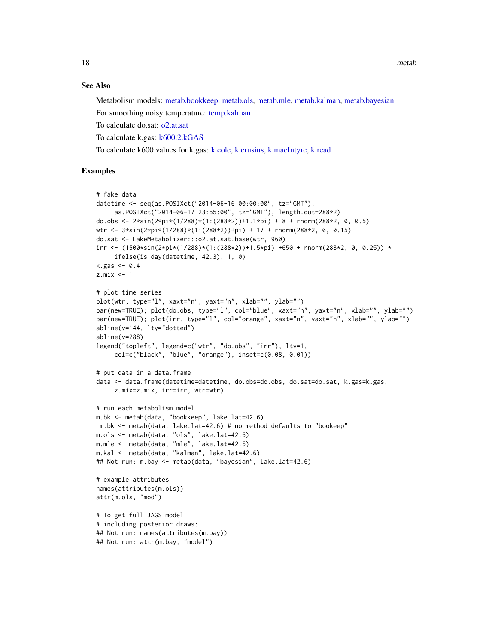18 metab

#### See Also

Metabolism models: [metab.bookkeep,](#page-19-1) [metab.ols,](#page-26-1) [metab.mle,](#page-23-1) [metab.kalman,](#page-21-1) [metab.bayesian](#page-18-1)

For smoothing noisy temperature: [temp.kalman](#page-33-1)

To calculate do.sat: [o2.at.sat](#page-27-1)

To calculate k.gas: [k600.2.kGAS](#page-13-1)

To calculate k600 values for k.gas: [k.cole,](#page-8-2) [k.crusius,](#page-8-2) [k.macIntyre,](#page-8-2) [k.read](#page-8-1)

```
# fake data
datetime <- seq(as.POSIXct("2014-06-16 00:00:00", tz="GMT"),
     as.POSIXct("2014-06-17 23:55:00", tz="GMT"), length.out=288*2)
do.obs <- 2 \times \sin(2 \times \pi) \times (1/(288 \times 2)) + 1.1 \times \pi) + 8 + \text{rnorm}(288 \times 2, 0, 0.5)wtr <- 3*sin(2*pi*(1/288)*(1:(288*2))+pi) + 17 + rnorm(288*2, 0, 0.15)
do.sat <- LakeMetabolizer:::o2.at.sat.base(wtr, 960)
irr <- (1500*sin(2*pi*(1/288)*(1:(288*2))+1.5*pi) +650 + rnorm(288*2, 0, 0.25)) *ifelse(is.day(datetime, 42.3), 1, 0)
k.gas < -0.4z.mix <- 1
# plot time series
plot(wtr, type="l", xaxt="n", yaxt="n", xlab="", ylab="")
par(new=TRUE); plot(do.obs, type="l", col="blue", xaxt="n", yaxt="n", xlab="", ylab="")
par(new=TRUE); plot(irr, type="l", col="orange", xaxt="n", yaxt="n", xlab="", ylab="")
abline(v=144, lty="dotted")
abline(v=288)
legend("topleft", legend=c("wtr", "do.obs", "irr"), lty=1,
     col=c("black", "blue", "orange"), inset=c(0.08, 0.01))
# put data in a data.frame
data <- data.frame(datetime=datetime, do.obs=do.obs, do.sat=do.sat, k.gas=k.gas,
     z.mix=z.mix, irr=irr, wtr=wtr)
# run each metabolism model
m.bk <- metab(data, "bookkeep", lake.lat=42.6)
m.bk <- metab(data, lake.lat=42.6) # no method defaults to "bookeep"
m.ols <- metab(data, "ols", lake.lat=42.6)
m.mle <- metab(data, "mle", lake.lat=42.6)
m.kal <- metab(data, "kalman", lake.lat=42.6)
## Not run: m.bay <- metab(data, "bayesian", lake.lat=42.6)
# example attributes
names(attributes(m.ols))
attr(m.ols, "mod")
# To get full JAGS model
# including posterior draws:
## Not run: names(attributes(m.bay))
## Not run: attr(m.bay, "model")
```
<span id="page-17-0"></span>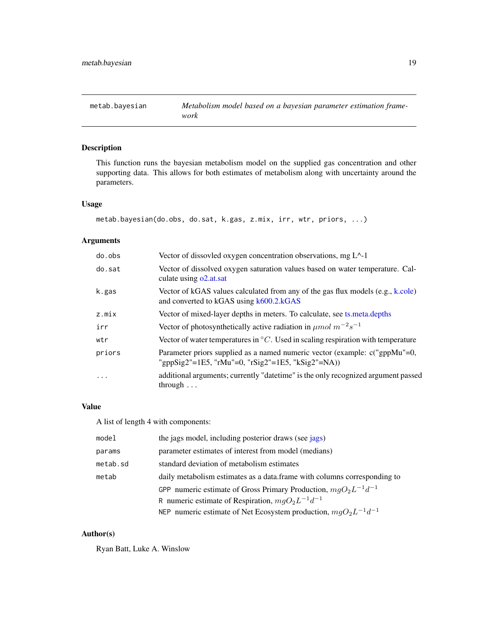<span id="page-18-1"></span><span id="page-18-0"></span>

This function runs the bayesian metabolism model on the supplied gas concentration and other supporting data. This allows for both estimates of metabolism along with uncertainty around the parameters.

#### Usage

```
metab.bayesian(do.obs, do.sat, k.gas, z.mix, irr, wtr, priors, ...)
```
## Arguments

| do.obs  | Vector of dissovled oxygen concentration observations, mg $L^2-1$                                                               |
|---------|---------------------------------------------------------------------------------------------------------------------------------|
| do.sat  | Vector of dissolved oxygen saturation values based on water temperature. Cal-<br>culate using o2.at.sat                         |
| k.gas   | Vector of kGAS values calculated from any of the gas flux models (e.g., k.cole)<br>and converted to kGAS using k600.2.kGAS      |
| z.mix   | Vector of mixed-layer depths in meters. To calculate, see ts. meta. depths                                                      |
| irr     | Vector of photosynthetically active radiation in $\mu$ mol $m^{-2}s^{-1}$                                                       |
| wtr     | Vector of water temperatures in $\mathrm{^{\circ}C}$ . Used in scaling respiration with temperature                             |
| priors  | Parameter priors supplied as a named numeric vector (example: c("gppMu"=0,<br>"gppSig2"=1E5, "rMu"=0, "rSig2"=1E5, "kSig2"=NA)) |
| $\cdot$ | additional arguments; currently "date time" is the only recognized argument passed<br>through $\dots$                           |

## Value

A list of length 4 with components:

| model    | the jags model, including posterior draws (see jags)                      |
|----------|---------------------------------------------------------------------------|
| params   | parameter estimates of interest from model (medians)                      |
| metab.sd | standard deviation of metabolism estimates                                |
| metab    | daily metabolism estimates as a data. frame with columns corresponding to |
|          | GPP numeric estimate of Gross Primary Production, $mgO_2L^{-1}d^{-1}$     |
|          | R numeric estimate of Respiration, $mgO_2L^{-1}d^{-1}$                    |
|          | NEP numeric estimate of Net Ecosystem production, $mgO_2L^{-1}d^{-1}$     |

## Author(s)

Ryan Batt, Luke A. Winslow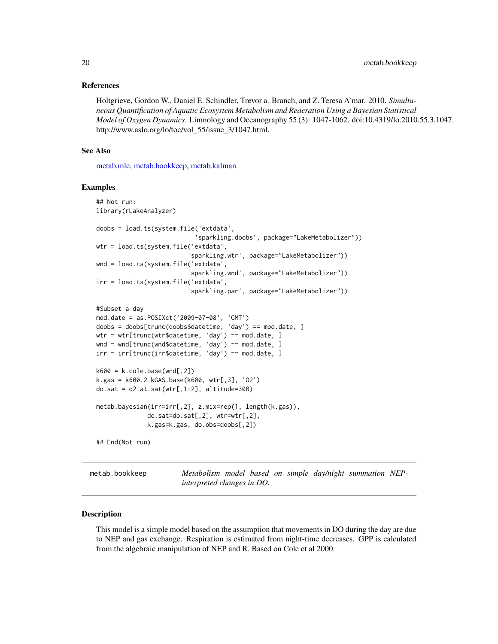#### <span id="page-19-0"></span>References

Holtgrieve, Gordon W., Daniel E. Schindler, Trevor a. Branch, and Z. Teresa A'mar. 2010. *Simultaneous Quantification of Aquatic Ecosystem Metabolism and Reaeration Using a Bayesian Statistical Model of Oxygen Dynamics*. Limnology and Oceanography 55 (3): 1047-1062. doi:10.4319/lo.2010.55.3.1047. http://www.aslo.org/lo/toc/vol\_55/issue\_3/1047.html.

#### See Also

[metab.mle,](#page-23-1) [metab.bookkeep,](#page-19-1) [metab.kalman](#page-21-1)

#### Examples

```
## Not run:
library(rLakeAnalyzer)
doobs = load.ts(system.file('extdata',
                            'sparkling.doobs', package="LakeMetabolizer"))
wtr = load.ts(system.file('extdata',
                          'sparkling.wtr', package="LakeMetabolizer"))
wnd = load.ts(system.file('extdata',
                          'sparkling.wnd', package="LakeMetabolizer"))
irr = load.ts(system.file('extdata',
                         'sparkling.par', package="LakeMetabolizer"))
#Subset a day
mod.date = as.POSIXct('2009-07-08', 'GMT')
doobs = doobs[trunc(doobs$datetime, 'day') == mod.date, ]
wtr = wtr[trunc(wtr$datetime, 'day') == mod.date, ]
wnd = wnd[trunc(wnd$datetime, 'day') == mod.date, ]
irr = irr[trunc(irr$datetime, 'day') == mod.date, ]
k600 = k.close.base(wnd[, 2])k.gas = k600.2.kGAS.base(k600, wtr[,3], 'O2')
do.sat = o2.at.sat(wtr[,1:2], altitude=300)
metab.bayesian(irr=irr[,2], z.mix=rep(1, length(k.gas)),
              do.sat=do.sat[,2], wtr=wtr[,2],
              k.gas=k.gas, do.obs=doobs[,2])
## End(Not run)
```
<span id="page-19-1"></span>metab.bookkeep *Metabolism model based on simple day/night summation NEPinterpreted changes in DO.*

#### Description

This model is a simple model based on the assumption that movements in DO during the day are due to NEP and gas exchange. Respiration is estimated from night-time decreases. GPP is calculated from the algebraic manipulation of NEP and R. Based on Cole et al 2000.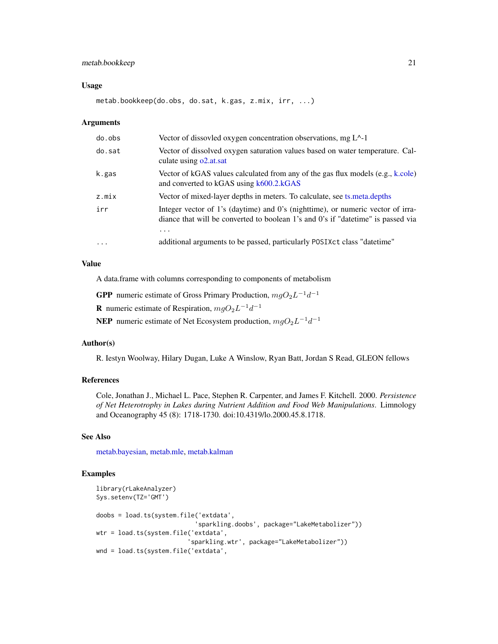## <span id="page-20-0"></span>metab.bookkeep 21

#### Usage

metab.bookkeep(do.obs, do.sat, k.gas, z.mix, irr, ...)

#### Arguments

| do.obs   | Vector of dissovled oxygen concentration observations, mg $L^2-1$                                                                                                    |
|----------|----------------------------------------------------------------------------------------------------------------------------------------------------------------------|
| do.sat   | Vector of dissolved oxygen saturation values based on water temperature. Cal-<br>culate using o2.at.sat                                                              |
| k.gas    | Vector of kGAS values calculated from any of the gas flux models $(e.g., k.cole)$<br>and converted to kGAS using k600.2.kGAS                                         |
| z.mix    | Vector of mixed-layer depths in meters. To calculate, see ts. meta. depths                                                                                           |
| irr      | Integer vector of 1's (daytime) and 0's (nighttime), or numeric vector of irra-<br>diance that will be converted to boolean 1's and 0's if "date time" is passed via |
|          | .                                                                                                                                                                    |
| $\cdots$ | additional arguments to be passed, particularly POSIXct class "datetime"                                                                                             |

## Value

A data.frame with columns corresponding to components of metabolism

**GPP** numeric estimate of Gross Primary Production,  $mgO_2L^{-1}d^{-1}$ 

**R** numeric estimate of Respiration,  $mgO_2L^{-1}d^{-1}$ 

**NEP** numeric estimate of Net Ecosystem production,  $mgO_2L^{-1}d^{-1}$ 

#### Author(s)

R. Iestyn Woolway, Hilary Dugan, Luke A Winslow, Ryan Batt, Jordan S Read, GLEON fellows

## References

Cole, Jonathan J., Michael L. Pace, Stephen R. Carpenter, and James F. Kitchell. 2000. *Persistence of Net Heterotrophy in Lakes during Nutrient Addition and Food Web Manipulations*. Limnology and Oceanography 45 (8): 1718-1730. doi:10.4319/lo.2000.45.8.1718.

## See Also

[metab.bayesian,](#page-18-1) [metab.mle,](#page-23-1) [metab.kalman](#page-21-1)

```
library(rLakeAnalyzer)
Sys.setenv(TZ='GMT')
doobs = load.ts(system.file('extdata',
                            'sparkling.doobs', package="LakeMetabolizer"))
wtr = load.ts(system.file('extdata',
                         'sparkling.wtr', package="LakeMetabolizer"))
wnd = load.ts(system.file('extdata',
```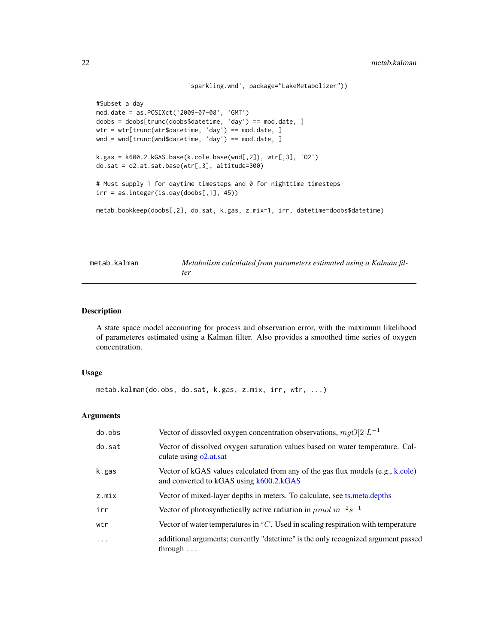```
'sparkling.wnd', package="LakeMetabolizer"))
#Subset a day
mod.date = as.POSIXct('2009-07-08', 'GMT')
doobs = doobs[trunc(doobs$datetime, 'day') == mod.date, ]
wtr = wtr[trunc(wtr$datetime, 'day') == mod.date, ]
wnd = wnd[trunc(wnd$datetime, 'day') == mod.date, ]
k.gas = k600.2.kGAS.base(k.cole.base(wnd[, 2]), wrr[, 3], '02')do.sat = o2.at.sat.base(wtr[,3], altitude=300)
# Must supply 1 for daytime timesteps and 0 for nighttime timesteps
irr = as.integer(is.day(doobs[, 1], 45))metab.bookkeep(doobs[,2], do.sat, k.gas, z.mix=1, irr, datetime=doobs$datetime)
```
<span id="page-21-1"></span>

| metab.kalman | Metabolism calculated from parameters estimated using a Kalman fil- |
|--------------|---------------------------------------------------------------------|
|              | ter                                                                 |

A state space model accounting for process and observation error, with the maximum likelihood of parameteres estimated using a Kalman filter. Also provides a smoothed time series of oxygen concentration.

#### Usage

```
metab.kalman(do.obs, do.sat, k.gas, z.mix, irr, wtr, ...)
```
## Arguments

| do.obs   | Vector of dissovled oxygen concentration observations, $mgO[2]L^{-1}$                                                        |
|----------|------------------------------------------------------------------------------------------------------------------------------|
| do.sat   | Vector of dissolved oxygen saturation values based on water temperature. Cal-<br>culate using o2.at.sat                      |
| k.gas    | Vector of kGAS values calculated from any of the gas flux models $(e.g., k.cole)$<br>and converted to kGAS using k600.2.kGAS |
| z.mix    | Vector of mixed-layer depths in meters. To calculate, see ts. meta. depths                                                   |
| irr      | Vector of photosynthetically active radiation in $\mu$ mol $m^{-2}s^{-1}$                                                    |
| wtr      | Vector of water temperatures in ${}^{\circ}C$ . Used in scaling respiration with temperature                                 |
| $\ddots$ | additional arguments; currently "date time" is the only recognized argument passed<br>through $\ldots$                       |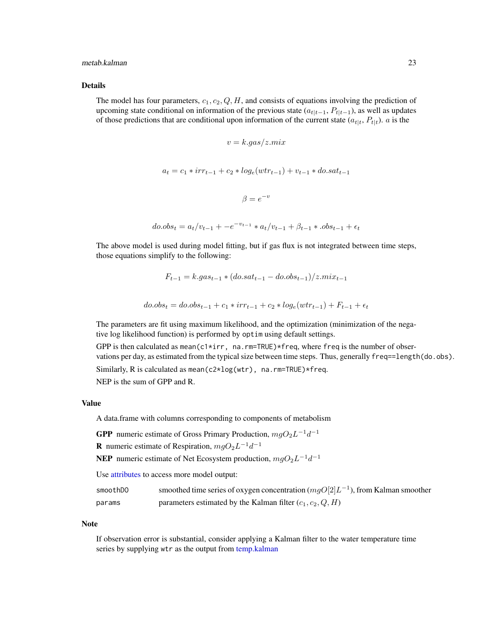#### <span id="page-22-0"></span>metab.kalman 23

#### Details

The model has four parameters,  $c_1, c_2, Q, H$ , and consists of equations involving the prediction of upcoming state conditional on information of the previous state  $(a_{t|t-1}, P_{t|t-1})$ , as well as updates of those predictions that are conditional upon information of the current state  $(a_{t|t}, P_{t|t})$ . a is the

$$
v = k.gas/z.mix
$$
  

$$
a_t = c_1 * irr_{t-1} + c_2 * log_e(wtr_{t-1}) + v_{t-1} * do.sat_{t-1}
$$
  

$$
\beta = e^{-v}
$$
  

$$
do. obs_t = a_t/v_{t-1} + -e^{-v_{t-1}} * a_t/v_{t-1} + \beta_{t-1} * .obs_{t-1} + \epsilon_t
$$

The above model is used during model fitting, but if gas flux is not integrated between time steps, those equations simplify to the following:

$$
F_{t-1} = k.gas_{t-1} * (do.sat_{t-1} - do. obs_{t-1})/z.mix_{t-1}
$$

$$
do. obs_t = do. obs_{t-1} + c_1 * irr_{t-1} + c_2 * log_e(wtr_{t-1}) + F_{t-1} + \epsilon_t
$$

The parameters are fit using maximum likelihood, and the optimization (minimization of the negative log likelihood function) is performed by optim using default settings.

GPP is then calculated as mean(c1 $\star$ irr, na.rm=TRUE) $\star$ freq, where freq is the number of observations per day, as estimated from the typical size between time steps. Thus, generally freq==length(do.obs).

Similarly, R is calculated as mean(c2\*log(wtr), na.rm=TRUE)\*freq.

NEP is the sum of GPP and R.

#### Value

A data.frame with columns corresponding to components of metabolism

**GPP** numeric estimate of Gross Primary Production,  $mgO_2L^{-1}d^{-1}$ 

**R** numeric estimate of Respiration,  $mgO_2L^{-1}d^{-1}$ 

**NEP** numeric estimate of Net Ecosystem production,  $mgO_2L^{-1}d^{-1}$ 

Use [attributes](#page-0-0) to access more model output:

| smoothDO | smoothed time series of oxygen concentration $(mgO[2]L^{-1})$ , from Kalman smoother |
|----------|--------------------------------------------------------------------------------------|
| params   | parameters estimated by the Kalman filter $(c_1, c_2, Q, H)$                         |

#### **Note**

If observation error is substantial, consider applying a Kalman filter to the water temperature time series by supplying wtr as the output from [temp.kalman](#page-33-1)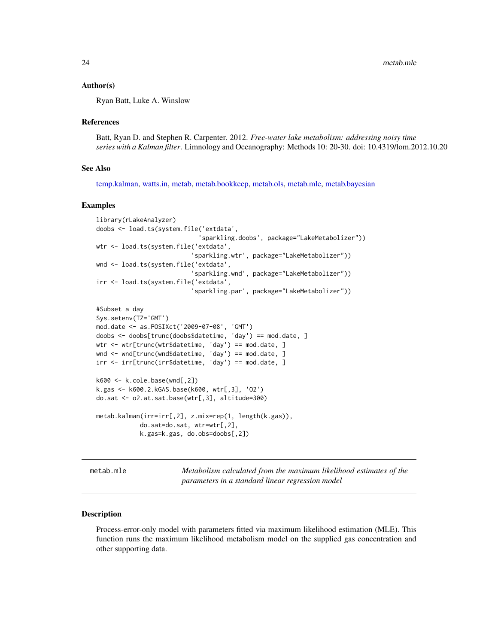#### <span id="page-23-0"></span>Author(s)

Ryan Batt, Luke A. Winslow

#### References

Batt, Ryan D. and Stephen R. Carpenter. 2012. *Free-water lake metabolism: addressing noisy time series with a Kalman filter*. Limnology and Oceanography: Methods 10: 20-30. doi: 10.4319/lom.2012.10.20

#### See Also

[temp.kalman,](#page-33-1) [watts.in,](#page-34-1) [metab,](#page-15-2) [metab.bookkeep,](#page-19-1) [metab.ols,](#page-26-1) [metab.mle,](#page-23-1) [metab.bayesian](#page-18-1)

#### Examples

```
library(rLakeAnalyzer)
doobs <- load.ts(system.file('extdata',
                             'sparkling.doobs', package="LakeMetabolizer"))
wtr <- load.ts(system.file('extdata',
                           'sparkling.wtr', package="LakeMetabolizer"))
wnd <- load.ts(system.file('extdata',
                           'sparkling.wnd', package="LakeMetabolizer"))
irr <- load.ts(system.file('extdata',
                           'sparkling.par', package="LakeMetabolizer"))
#Subset a day
Sys.setenv(TZ='GMT')
mod.date <- as.POSIXct('2009-07-08', 'GMT')
doobs <- doobs[trunc(doobs$datetime, 'day') == mod.date, ]
wtr <- wtr[trunc(wtr$datetime, 'day') == mod.date, ]
wnd <- wnd[trunc(wnd$datetime, 'day') == mod.date, ]
irr <- irr[trunc(irr$datetime, 'day') == mod.date, ]
k600 <- k.cole.base(wnd[,2])
k.gas <- k600.2.kGAS.base(k600, wtr[,3], 'O2')
do.sat <- o2.at.sat.base(wtr[,3], altitude=300)
metab.kalman(irr=irr[,2], z.mix=rep(1, length(k.gas)),
            do.sat=do.sat, wtr=wtr[,2],
            k.gas=k.gas, do.obs=doobs[,2])
```
<span id="page-23-1"></span>metab.mle *Metabolism calculated from the maximum likelihood estimates of the parameters in a standard linear regression model*

#### Description

Process-error-only model with parameters fitted via maximum likelihood estimation (MLE). This function runs the maximum likelihood metabolism model on the supplied gas concentration and other supporting data.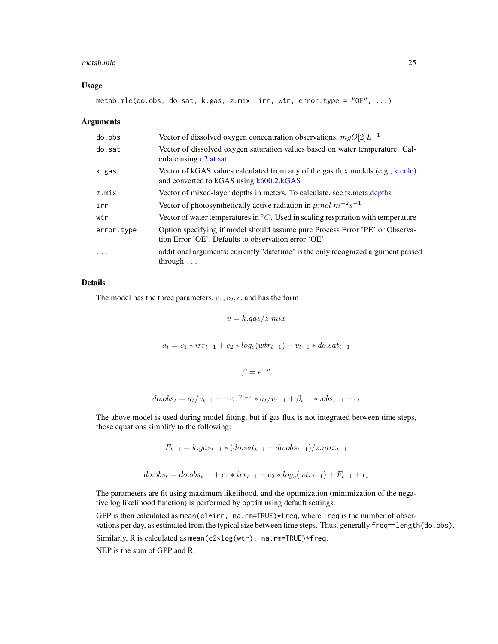#### <span id="page-24-0"></span>metab.mle 25

#### Usage

metab.mle(do.obs, do.sat, k.gas, z.mix, irr, wtr, error.type = "OE", ...)

#### Arguments

| do.obs     | Vector of dissolved oxygen concentration observations, $mgO[2]L^{-1}$                                                                |
|------------|--------------------------------------------------------------------------------------------------------------------------------------|
| do.sat     | Vector of dissolved oxygen saturation values based on water temperature. Cal-<br>culate using o2.at.sat                              |
| k.gas      | Vector of kGAS values calculated from any of the gas flux models $(e.g., k.cole)$<br>and converted to kGAS using k600.2.kGAS         |
| z.mix      | Vector of mixed-layer depths in meters. To calculate, see ts. meta. depths                                                           |
| irr        | Vector of photosynthetically active radiation in $\mu$ mol $m^{-2}s^{-1}$                                                            |
| wtr        | Vector of water temperatures in ${}^{\circ}C$ . Used in scaling respiration with temperature                                         |
| error.type | Option specifying if model should assume pure Process Error 'PE' or Observa-<br>tion Error 'OE'. Defaults to observation error 'OE'. |
| $\cdot$    | additional arguments; currently "date time" is the only recognized argument passed<br>through $\ldots$                               |

## Details

The model has the three parameters,  $c_1, c_2, \epsilon$ , and has the form

$$
v = k.gas/z.mix
$$

 $a_t = c_1 * irr_{t-1} + c_2 * log_e(wtr_{t-1}) + v_{t-1} * do.sat_{t-1}$ 

 $\beta = e^{-v}$ 

$$
do. obs_t = a_t/v_{t-1} + -e^{-v_{t-1}} * a_t/v_{t-1} + \beta_{t-1} * .obs_{t-1} + \epsilon_t
$$

The above model is used during model fitting, but if gas flux is not integrated between time steps, those equations simplify to the following:

$$
F_{t-1} = k.gas_{t-1} * (do.sat_{t-1} - do. obs_{t-1})/z.mix_{t-1}
$$

$$
do. obs_t = do. obs_{t-1} + c_1 * irr_{t-1} + c_2 * log_e(wtr_{t-1}) + F_{t-1} + \epsilon_t
$$

The parameters are fit using maximum likelihood, and the optimization (minimization of the negative log likelihood function) is performed by optim using default settings.

GPP is then calculated as mean(c1\*irr, na.rm=TRUE)\*freq, where freq is the number of observations per day, as estimated from the typical size between time steps. Thus, generally freq==length(do.obs). Similarly, R is calculated as mean(c2\*log(wtr), na.rm=TRUE)\*freq.

NEP is the sum of GPP and R.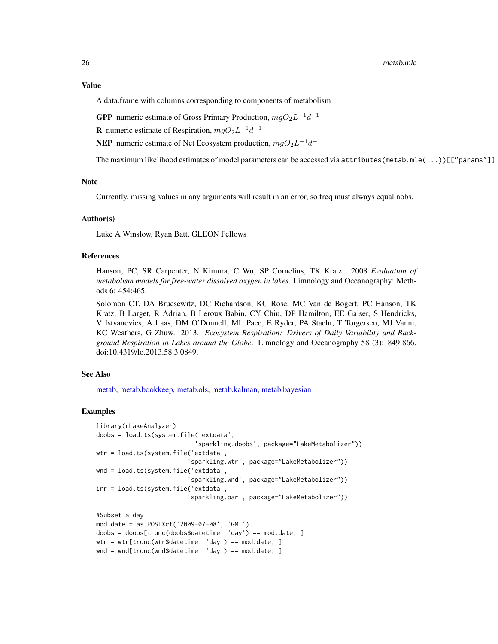#### <span id="page-25-0"></span>Value

A data.frame with columns corresponding to components of metabolism

**GPP** numeric estimate of Gross Primary Production,  $mgO_2L^{-1}d^{-1}$ 

**R** numeric estimate of Respiration,  $mgO_2L^{-1}d^{-1}$ 

**NEP** numeric estimate of Net Ecosystem production,  $mgO_2L^{-1}d^{-1}$ 

The maximum likelihood estimates of model parameters can be accessed via attributes(metab.mle(...))[["params"]]

#### Note

Currently, missing values in any arguments will result in an error, so freq must always equal nobs.

## Author(s)

Luke A Winslow, Ryan Batt, GLEON Fellows

#### References

Hanson, PC, SR Carpenter, N Kimura, C Wu, SP Cornelius, TK Kratz. 2008 *Evaluation of metabolism models for free-water dissolved oxygen in lakes*. Limnology and Oceanography: Methods 6: 454:465.

Solomon CT, DA Bruesewitz, DC Richardson, KC Rose, MC Van de Bogert, PC Hanson, TK Kratz, B Larget, R Adrian, B Leroux Babin, CY Chiu, DP Hamilton, EE Gaiser, S Hendricks, V Istvanovics, A Laas, DM O'Donnell, ML Pace, E Ryder, PA Staehr, T Torgersen, MJ Vanni, KC Weathers, G Zhuw. 2013. *Ecosystem Respiration: Drivers of Daily Variability and Background Respiration in Lakes around the Globe*. Limnology and Oceanography 58 (3): 849:866. doi:10.4319/lo.2013.58.3.0849.

## See Also

[metab,](#page-15-2) [metab.bookkeep,](#page-19-1) [metab.ols,](#page-26-1) [metab.kalman,](#page-21-1) [metab.bayesian](#page-18-1)

```
library(rLakeAnalyzer)
doobs = load.ts(system.file('extdata',
                           'sparkling.doobs', package="LakeMetabolizer"))
wtr = load.ts(system.file('extdata',
                         'sparkling.wtr', package="LakeMetabolizer"))
wnd = load.ts(system.file('extdata',
                          'sparkling.wnd', package="LakeMetabolizer"))
irr = load.ts(system.file('extdata',
                         'sparkling.par', package="LakeMetabolizer"))
#Subset a day
mod.date = as.POSIXct('2009-07-08', 'GMT')
doobs = doobs[trunc(doobs$datetime, 'day') == mod.date, ]
wtr = wtr[trunc(wtr$datetime, 'day') == mod.date, ]
wnd = wnd[trunc(wnd$datetime, 'day') == mod.date, ]
```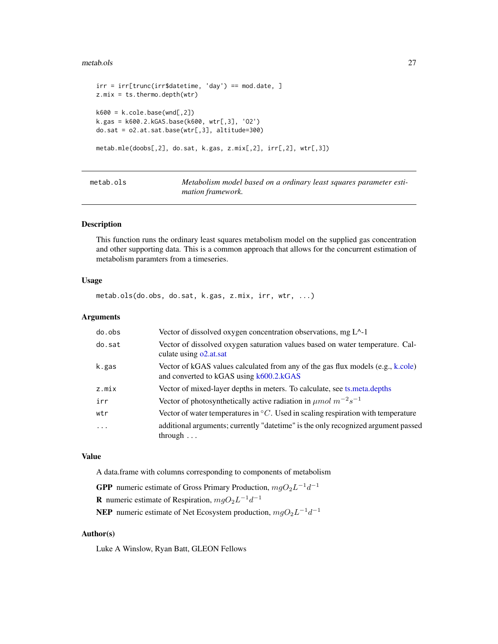#### <span id="page-26-0"></span>metab.ols 27

```
irr = irr[trunc(irr$datetime, 'day') == mod.date, ]
z.mix = ts.thermo.depth(wtr)
k600 = k.close.base(wnd[, 2])k.gas = k600.2.kGAS.base(k600, wtr[,3], 'O2')
do.sat = o2.at.sat.base(wtr[,3], altitude=300)
metab.mle(doobs[,2], do.sat, k.gas, z.mix[,2], irr[,2], wtr[,3])
```
<span id="page-26-1"></span>metab.ols *Metabolism model based on a ordinary least squares parameter estimation framework.*

## Description

This function runs the ordinary least squares metabolism model on the supplied gas concentration and other supporting data. This is a common approach that allows for the concurrent estimation of metabolism paramters from a timeseries.

#### Usage

metab.ols(do.obs, do.sat, k.gas, z.mix, irr, wtr, ...)

## Arguments

| do.obs     | Vector of dissolved oxygen concentration observations, mg $L^{\wedge}$ -1                                                    |
|------------|------------------------------------------------------------------------------------------------------------------------------|
| do.sat     | Vector of dissolved oxygen saturation values based on water temperature. Cal-<br>culate using o2.at.sat                      |
| k.gas      | Vector of kGAS values calculated from any of the gas flux models $(e.g., k.cole)$<br>and converted to kGAS using k600.2.kGAS |
| z.mix      | Vector of mixed-layer depths in meters. To calculate, see ts. meta. depths                                                   |
| irr        | Vector of photosynthetically active radiation in $\mu$ mol $m^{-2}s^{-1}$                                                    |
| wtr        | Vector of water temperatures in ${}^{\circ}C$ . Used in scaling respiration with temperature                                 |
| $\ddots$ . | additional arguments; currently "date time" is the only recognized argument passed<br>through $\ldots$                       |

#### Value

A data.frame with columns corresponding to components of metabolism

**GPP** numeric estimate of Gross Primary Production,  $mgO_2L^{-1}d^{-1}$ **R** numeric estimate of Respiration,  $mgO_2L^{-1}d^{-1}$ **NEP** numeric estimate of Net Ecosystem production,  $mgO_2L^{-1}d^{-1}$ 

#### Author(s)

Luke A Winslow, Ryan Batt, GLEON Fellows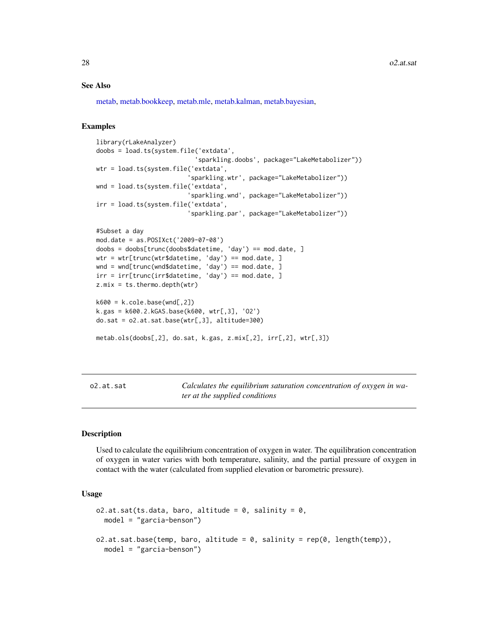#### See Also

[metab,](#page-15-2) [metab.bookkeep,](#page-19-1) [metab.mle,](#page-23-1) [metab.kalman,](#page-21-1) [metab.bayesian,](#page-18-1)

#### Examples

```
library(rLakeAnalyzer)
doobs = load.ts(system.file('extdata',
                           'sparkling.doobs', package="LakeMetabolizer"))
wtr = load.ts(system.file('extdata',
                         'sparkling.wtr', package="LakeMetabolizer"))
wnd = load.ts(system.file('extdata',
                         'sparkling.wnd', package="LakeMetabolizer"))
irr = load.ts(system.file('extdata',
                         'sparkling.par', package="LakeMetabolizer"))
#Subset a day
mod.date = as.POSIXct('2009-07-08')
doobs = doobs[trunc(doobs$datetime, 'day') == mod.date, ]
wtr = wtr[trunc(wtr$datetime, 'day') == mod.date, ]
wnd = wnd[trunc(wnd$datetime, 'day') == mod.date, ]
irr = irr[trunc(irr$datetime, 'day') == mod.date, ]
z.mix = ts. thermo. depth(wtr)
k600 = k.close.\nk.gas = k600.2.kGAS.base(k600, wrr[, 3], '02')do.sat = o2.at.sat.base(wtr[,3], altitude=300)
metab.ols(doobs[,2], do.sat, k.gas, z.mix[,2], irr[,2], wtr[,3])
```
<span id="page-27-1"></span>o2.at.sat *Calculates the equilibrium saturation concentration of oxygen in water at the supplied conditions*

## <span id="page-27-2"></span>Description

Used to calculate the equilibrium concentration of oxygen in water. The equilibration concentration of oxygen in water varies with both temperature, salinity, and the partial pressure of oxygen in contact with the water (calculated from supplied elevation or barometric pressure).

#### Usage

```
o2.at.sat(ts.data, baro, altitude = 0, salinity = 0,model = "garcia-benson")
o2.at.sat.base(temp, baro, altitude = 0, salinity = rep(0, length(temp)),
  model = "garcia-benson")
```
<span id="page-27-0"></span>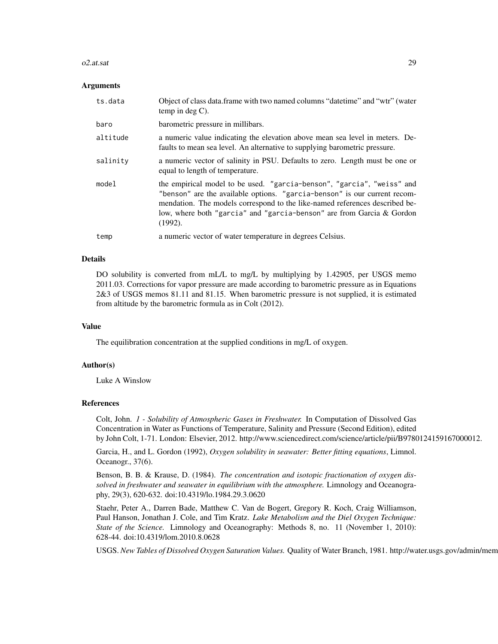#### $o2.$ at.sat  $29$

#### Arguments

| ts.data  | Object of class data.frame with two named columns "date time" and "wtr" (water<br>temp in deg $C$ ).                                                                                                                                                                                                                   |
|----------|------------------------------------------------------------------------------------------------------------------------------------------------------------------------------------------------------------------------------------------------------------------------------------------------------------------------|
| baro     | barometric pressure in millibars.                                                                                                                                                                                                                                                                                      |
| altitude | a numeric value indicating the elevation above mean sea level in meters. De-<br>faults to mean sea level. An alternative to supplying barometric pressure.                                                                                                                                                             |
| salinity | a numeric vector of salinity in PSU. Defaults to zero. Length must be one or<br>equal to length of temperature.                                                                                                                                                                                                        |
| model    | the empirical model to be used. "garcia-benson", "garcia", "weiss" and<br>"benson" are the available options. "garcia-benson" is our current recom-<br>mendation. The models correspond to the like-named references described be-<br>low, where both "garcia" and "garcia-benson" are from Garcia & Gordon<br>(1992). |
| temp     | a numeric vector of water temperature in degrees Celsius.                                                                                                                                                                                                                                                              |

#### Details

DO solubility is converted from mL/L to mg/L by multiplying by 1.42905, per USGS memo 2011.03. Corrections for vapor pressure are made according to barometric pressure as in Equations 2&3 of USGS memos 81.11 and 81.15. When barometric pressure is not supplied, it is estimated from altitude by the barometric formula as in Colt (2012).

## Value

The equilibration concentration at the supplied conditions in mg/L of oxygen.

## Author(s)

Luke A Winslow

#### References

Colt, John. *1 - Solubility of Atmospheric Gases in Freshwater.* In Computation of Dissolved Gas Concentration in Water as Functions of Temperature, Salinity and Pressure (Second Edition), edited by John Colt, 1-71. London: Elsevier, 2012. http://www.sciencedirect.com/science/article/pii/B9780124159167000012.

Garcia, H., and L. Gordon (1992), *Oxygen solubility in seawater: Better fitting equations*, Limnol. Oceanogr., 37(6).

Benson, B. B. & Krause, D. (1984). *The concentration and isotopic fractionation of oxygen dissolved in freshwater and seawater in equilibrium with the atmosphere.* Limnology and Oceanography, 29(3), 620-632. doi:10.4319/lo.1984.29.3.0620

Staehr, Peter A., Darren Bade, Matthew C. Van de Bogert, Gregory R. Koch, Craig Williamson, Paul Hanson, Jonathan J. Cole, and Tim Kratz. *Lake Metabolism and the Diel Oxygen Technique: State of the Science.* Limnology and Oceanography: Methods 8, no. 11 (November 1, 2010): 628-44. doi:10.4319/lom.2010.8.0628

USGS. New Tables of Dissolved Oxygen Saturation Values. Quality of Water Branch, 1981. http://water.usgs.gov/admin/mem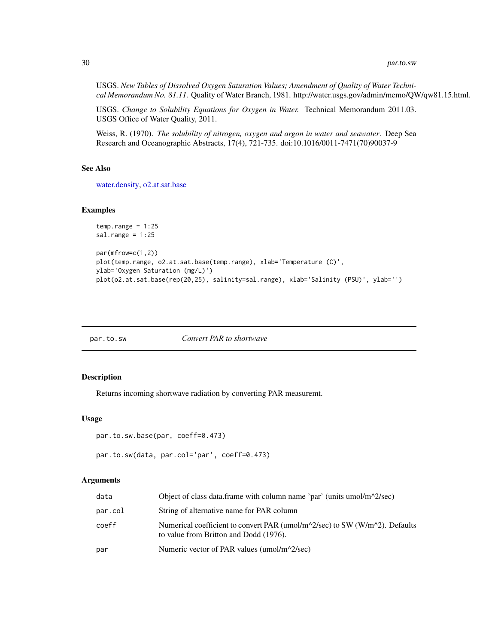#### 30 par.to.sw

USGS. *New Tables of Dissolved Oxygen Saturation Values; Amendment of Quality of Water Technical Memorandum No. 81.11.* Quality of Water Branch, 1981. http://water.usgs.gov/admin/memo/QW/qw81.15.html.

USGS. *Change to Solubility Equations for Oxygen in Water.* Technical Memorandum 2011.03. USGS Office of Water Quality, 2011.

Weiss, R. (1970). *The solubility of nitrogen, oxygen and argon in water and seawater*. Deep Sea Research and Oceanographic Abstracts, 17(4), 721-735. doi:10.1016/0011-7471(70)90037-9

#### See Also

[water.density,](#page-0-0) [o2.at.sat.base](#page-27-2)

## Examples

```
temp.random = 1:25sal.range = 1:25par(mfrow=c(1,2))
plot(temp.range, o2.at.sat.base(temp.range), xlab='Temperature (C)',
ylab='Oxygen Saturation (mg/L)')
plot(o2.at.sat.base(rep(20,25), salinity=sal.range), xlab='Salinity (PSU)', ylab='')
```
<span id="page-29-1"></span>

| par.to.sw | Convert PAR to shortwave |
|-----------|--------------------------|
|-----------|--------------------------|

#### Description

Returns incoming shortwave radiation by converting PAR measuremt.

#### Usage

```
par.to.sw.base(par, coeff=0.473)
```

```
par.to.sw(data, par.col='par', coeff=0.473)
```
#### Arguments

| data    | Object of class data.frame with column name 'par' (units umol/m $\frac{\text{N}}{2}$ /sec)                                                                 |
|---------|------------------------------------------------------------------------------------------------------------------------------------------------------------|
| par.col | String of alternative name for PAR column                                                                                                                  |
| coeff   | Numerical coefficient to convert PAR (umol/m $\frac{\text{N}}{\text{2}}$ /sec) to SW (W/m $\text{N}$ ). Defaults<br>to value from Britton and Dodd (1976). |
| par     | Numeric vector of PAR values (umol/m^2/sec)                                                                                                                |

<span id="page-29-0"></span>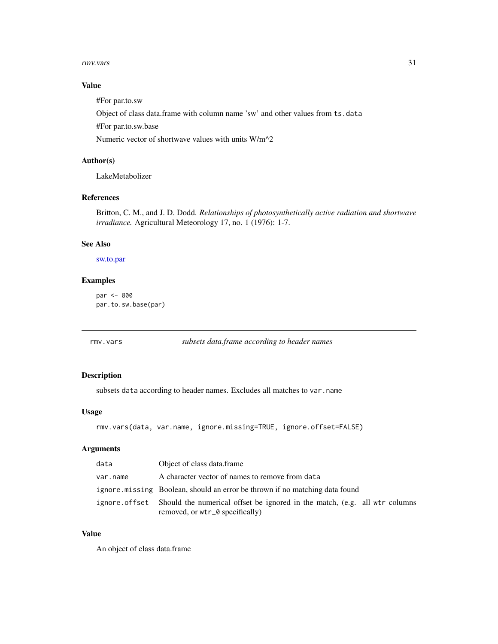#### <span id="page-30-0"></span>rmv.vars 31

## Value

#For par.to.sw

Object of class data.frame with column name 'sw' and other values from ts.data

#For par.to.sw.base

Numeric vector of shortwave values with units W/m^2

## Author(s)

LakeMetabolizer

## References

Britton, C. M., and J. D. Dodd. *Relationships of photosynthetically active radiation and shortwave irradiance.* Agricultural Meteorology 17, no. 1 (1976): 1-7.

## See Also

[sw.to.par](#page-32-1)

## Examples

```
par <- 800
par.to.sw.base(par)
```
<span id="page-30-1"></span>rmv.vars *subsets data.frame according to header names*

## Description

subsets data according to header names. Excludes all matches to var.name

#### Usage

```
rmv.vars(data, var.name, ignore.missing=TRUE, ignore.offset=FALSE)
```
## Arguments

| data     | Object of class data frame                                                                                                  |
|----------|-----------------------------------------------------------------------------------------------------------------------------|
| var.name | A character vector of names to remove from data                                                                             |
|          | ignore missing Boolean, should an error be thrown if no matching data found                                                 |
|          | ignore offset Should the numerical offset be ignored in the match, (e.g. all wtr columns<br>removed, or wtr_0 specifically) |

## Value

An object of class data.frame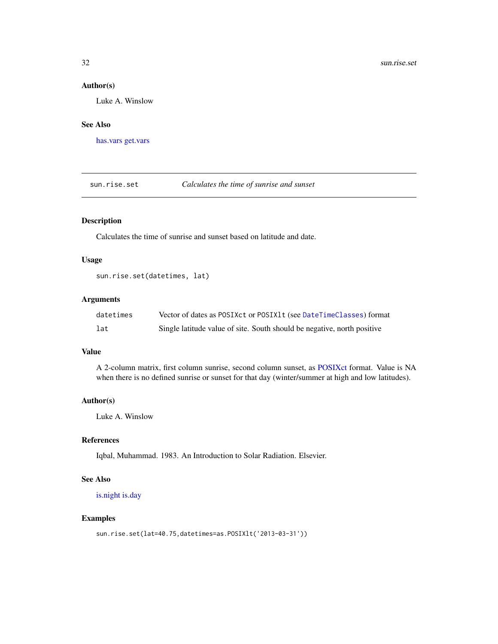## <span id="page-31-0"></span>Author(s)

Luke A. Winslow

## See Also

[has.vars](#page-6-1) [get.vars](#page-4-1)

<span id="page-31-1"></span>sun.rise.set *Calculates the time of sunrise and sunset*

## Description

Calculates the time of sunrise and sunset based on latitude and date.

## Usage

sun.rise.set(datetimes, lat)

## Arguments

| datetimes | Vector of dates as POSIXct or POSIX1t (see DateTimeClasses) format      |
|-----------|-------------------------------------------------------------------------|
| lat       | Single latitude value of site. South should be negative, north positive |

## Value

A 2-column matrix, first column sunrise, second column sunset, as [POSIXct](#page-0-0) format. Value is NA when there is no defined sunrise or sunset for that day (winter/summer at high and low latitudes).

## Author(s)

Luke A. Winslow

## References

Iqbal, Muhammad. 1983. An Introduction to Solar Radiation. Elsevier.

## See Also

[is.night](#page-7-1) [is.day](#page-6-2)

```
sun.rise.set(lat=40.75,datetimes=as.POSIXlt('2013-03-31'))
```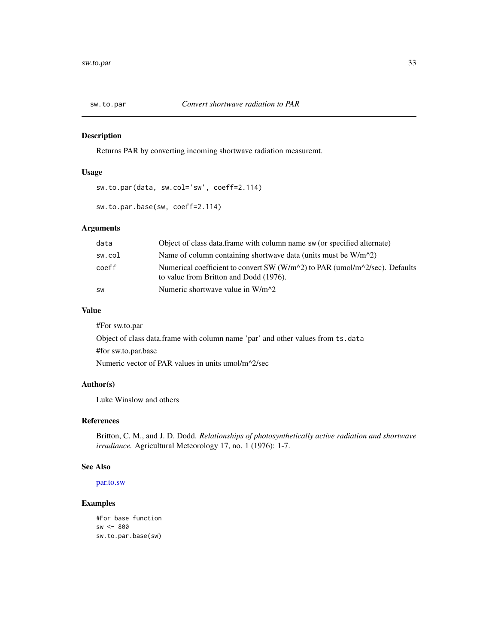<span id="page-32-1"></span><span id="page-32-0"></span>

Returns PAR by converting incoming shortwave radiation measuremt.

#### Usage

```
sw.to.par(data, sw.col='sw', coeff=2.114)
```

```
sw.to.par.base(sw, coeff=2.114)
```
## Arguments

| data      | Object of class data. frame with column name sw (or specified alternate)                                                                                                       |
|-----------|--------------------------------------------------------------------------------------------------------------------------------------------------------------------------------|
| sw.col    | Name of column containing shortwave data (units must be $W/m^2$ )                                                                                                              |
| coeff     | Numerical coefficient to convert SW (W/m <sup><math>\sim</math></sup> 2) to PAR (umol/m <sup><math>\sim</math>2/sec). Defaults</sup><br>to value from Britton and Dodd (1976). |
| <b>SW</b> | Numeric shortwave value in $W/m^2$                                                                                                                                             |

#### Value

#For sw.to.par Object of class data.frame with column name 'par' and other values from ts.data #for sw.to.par.base Numeric vector of PAR values in units umol/m^2/sec

## Author(s)

Luke Winslow and others

## References

Britton, C. M., and J. D. Dodd. *Relationships of photosynthetically active radiation and shortwave irradiance.* Agricultural Meteorology 17, no. 1 (1976): 1-7.

## See Also

[par.to.sw](#page-29-1)

```
#For base function
sw <- 800
sw.to.par.base(sw)
```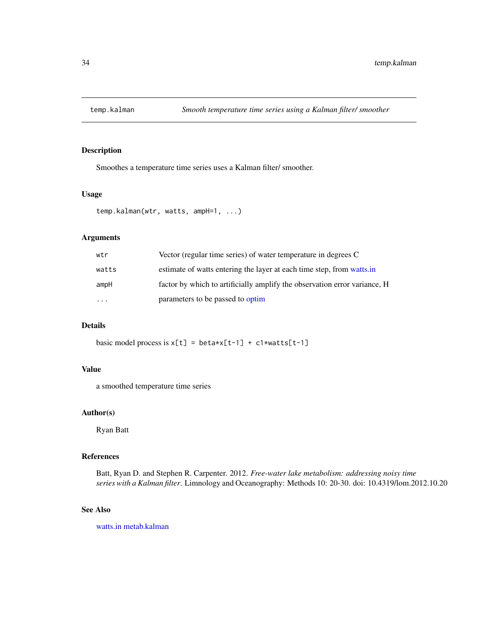<span id="page-33-1"></span><span id="page-33-0"></span>

Smoothes a temperature time series uses a Kalman filter/ smoother.

#### Usage

```
temp.kalman(wtr, watts, ampH=1, ...)
```
## Arguments

| wtr      | Vector (regular time series) of water temperature in degrees C            |
|----------|---------------------------------------------------------------------------|
| watts    | estimate of watts entering the layer at each time step, from watts in     |
| ampH     | factor by which to artificially amplify the observation error variance, H |
| $\cdots$ | parameters to be passed to optim                                          |

## Details

basic model process is  $x[t] = beta * x[t-1] + c1 * watts[t-1]$ 

#### Value

a smoothed temperature time series

## Author(s)

Ryan Batt

#### References

Batt, Ryan D. and Stephen R. Carpenter. 2012. *Free-water lake metabolism: addressing noisy time series with a Kalman filter*. Limnology and Oceanography: Methods 10: 20-30. doi: 10.4319/lom.2012.10.20

## See Also

[watts.in](#page-34-1) [metab.kalman](#page-21-1)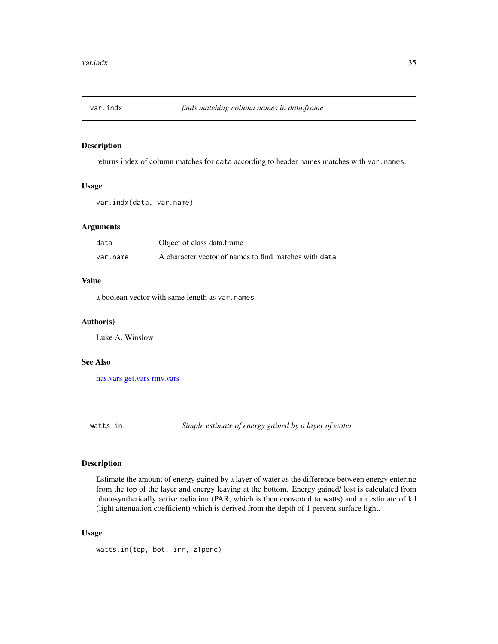<span id="page-34-0"></span>

returns index of column matches for data according to header names matches with var.names.

#### Usage

var.indx(data, var.name)

#### Arguments

| data     | Object of class data.frame                            |
|----------|-------------------------------------------------------|
| var.name | A character vector of names to find matches with data |

#### Value

a boolean vector with same length as var.names

## Author(s)

Luke A. Winslow

#### See Also

[has.vars](#page-6-1) [get.vars](#page-4-1) [rmv.vars](#page-30-1)

<span id="page-34-1"></span>watts.in *Simple estimate of energy gained by a layer of water*

#### Description

Estimate the amount of energy gained by a layer of water as the difference between energy entering from the top of the layer and energy leaving at the bottom. Energy gained/ lost is calculated from photosynthetically active radiation (PAR, which is then converted to watts) and an estimate of kd (light attenuation coefficient) which is derived from the depth of 1 percent surface light.

## Usage

watts.in(top, bot, irr, z1perc)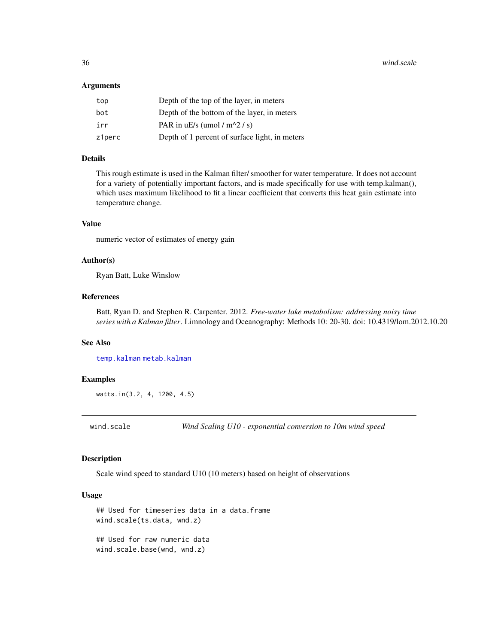#### <span id="page-35-0"></span>Arguments

| top    | Depth of the top of the layer, in meters       |
|--------|------------------------------------------------|
| bot    | Depth of the bottom of the layer, in meters    |
| irr    | PAR in uE/s (umol / $m^2$ / s)                 |
| z1perc | Depth of 1 percent of surface light, in meters |

#### Details

This rough estimate is used in the Kalman filter/ smoother for water temperature. It does not account for a variety of potentially important factors, and is made specifically for use with temp.kalman(), which uses maximum likelihood to fit a linear coefficient that converts this heat gain estimate into temperature change.

## Value

numeric vector of estimates of energy gain

## Author(s)

Ryan Batt, Luke Winslow

#### References

Batt, Ryan D. and Stephen R. Carpenter. 2012. *Free-water lake metabolism: addressing noisy time series with a Kalman filter*. Limnology and Oceanography: Methods 10: 20-30. doi: 10.4319/lom.2012.10.20

### See Also

[temp.kalman](#page-33-1) [metab.kalman](#page-21-1)

#### Examples

watts.in(3.2, 4, 1200, 4.5)

wind.scale *Wind Scaling U10 - exponential conversion to 10m wind speed*

#### Description

Scale wind speed to standard U10 (10 meters) based on height of observations

#### Usage

```
## Used for timeseries data in a data.frame
wind.scale(ts.data, wnd.z)
## Used for raw numeric data
wind.scale.base(wnd, wnd.z)
```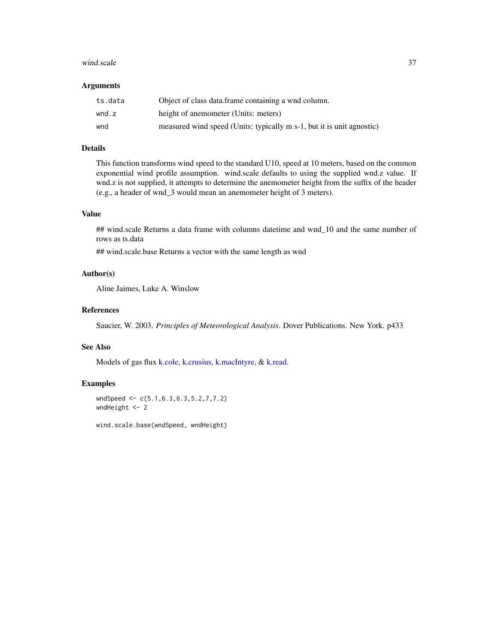#### <span id="page-36-0"></span>wind.scale 37

#### Arguments

| ts.data | Object of class data.frame containing a wnd column.                   |
|---------|-----------------------------------------------------------------------|
| wnd.z   | height of anemometer (Units: meters)                                  |
| wnd     | measured wind speed (Units: typically m s-1, but it is unit agnostic) |

## Details

This function transforms wind speed to the standard U10, speed at 10 meters, based on the common exponential wind profile assumption. wind.scale defaults to using the supplied wnd.z value. If wnd.z is not supplied, it attempts to determine the anemometer height from the suffix of the header (e.g., a header of wnd\_3 would mean an anemometer height of 3 meters).

## Value

## wind.scale Returns a data frame with columns datetime and wnd\_10 and the same number of rows as ts.data

## wind.scale.base Returns a vector with the same length as wnd

## Author(s)

Aline Jaimes, Luke A. Winslow

## References

Saucier, W. 2003. *Principles of Meteorological Analysis*. Dover Publications. New York. p433

## See Also

Models of gas flux [k.cole,](#page-8-2) [k.crusius,](#page-8-2) [k.macIntyre,](#page-8-2) & [k.read.](#page-8-1)

## Examples

```
wndSpeed <- c(5.1,6.3,6.3,5.2,7,7.2)
wndHeight <- 2
```
wind.scale.base(wndSpeed, wndHeight)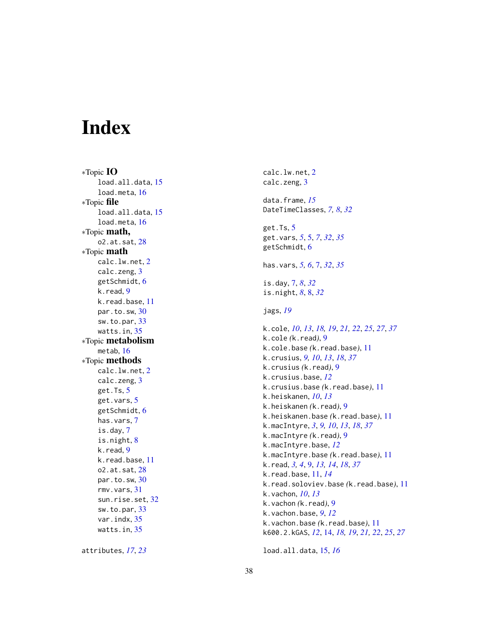# <span id="page-37-0"></span>Index

∗Topic IO load.all.data, [15](#page-14-0) load.meta, [16](#page-15-0) ∗Topic file load.all.data, [15](#page-14-0) load.meta , [16](#page-15-0) ∗Topic math, o2.at.sat, [28](#page-27-0) ∗Topic math calc.lw.net, [2](#page-1-0) calc.zeng, [3](#page-2-0) getSchmidt , [6](#page-5-0) k.read, [9](#page-8-0) k.read.base , [11](#page-10-0) par.to.sw , [30](#page-29-0) sw.to.par , [33](#page-32-0) watts.in, [35](#page-34-0) ∗Topic metabolism metab , [16](#page-15-0) ∗Topic methods calc.lw.net , [2](#page-1-0) calc.zeng, [3](#page-2-0) get.Ts , [5](#page-4-0) get.vars , [5](#page-4-0) getSchmidt , [6](#page-5-0) has.vars , [7](#page-6-0) is.day , [7](#page-6-0) is.night , [8](#page-7-0) k.read, [9](#page-8-0) k.read.base , [11](#page-10-0) o2.at.sat, [28](#page-27-0) par.to.sw , [30](#page-29-0) rmv.vars , [31](#page-30-0) sun.rise.set, [32](#page-31-0) sw.to.par , [33](#page-32-0) var.indx , [35](#page-34-0) watts.in, [35](#page-34-0)

attributes , *[17](#page-16-0)* , *[23](#page-22-0)*

<code>calc.lw.net, $\,2$  $\,2$ </code> calc.zeng, [3](#page-2-0) data.frame , *[15](#page-14-0)* DateTimeClasses , *[7,](#page-6-0) [8](#page-7-0)* , *[32](#page-31-0)* get.Ts, <mark>[5](#page-4-0)</mark> get.vars , *[5](#page-4-0)* , [5](#page-4-0) , *[7](#page-6-0)* , *[32](#page-31-0)* , *[35](#page-34-0)* getSchmidt, <mark>[6](#page-5-0)</mark> has.vars , *[5](#page-4-0) , [6](#page-5-0)* , [7](#page-6-0) , *[32](#page-31-0)* , *[35](#page-34-0)* is.day, [7](#page-6-0), [8](#page-7-0), [32](#page-31-0) is.night , *[8](#page-7-0)* , [8](#page-7-0) , *[32](#page-31-0)* jags , *[19](#page-18-0)* k.cole , *[10](#page-9-0)* , *[13](#page-12-0)* , *[18](#page-17-0) , [19](#page-18-0)* , *[21](#page-20-0) , [22](#page-21-0)* , *[25](#page-24-0)* , *[27](#page-26-0)* , *[37](#page-36-0)* k.cole *(*k.read *)* , [9](#page-8-0) k.cole.base *(*k.read.base *)* , [11](#page-10-0) k.crusius , *[9](#page-8-0) , [10](#page-9-0)* , *[13](#page-12-0)* , *[18](#page-17-0)* , *[37](#page-36-0)* k.crusius *(*k.read *)* , [9](#page-8-0) k.crusius.base , *[12](#page-11-0)* k.crusius.base *(*k.read.base *)* , [11](#page-10-0) k.heiskanen , *[10](#page-9-0)* , *[13](#page-12-0)* k.heiskanen *(*k.read *)* , [9](#page-8-0) k.heiskanen.base *(*k.read.base *)* , [11](#page-10-0) k.macIntyre , *[3](#page-2-0)* , *[9](#page-8-0) , [10](#page-9-0)* , *[13](#page-12-0)* , *[18](#page-17-0)* , *[37](#page-36-0)* k.macIntyre *(*k.read *)* , [9](#page-8-0) k.macIntyre.base , *[12](#page-11-0)* k.macIntyre.base *(*k.read.base *)* , [11](#page-10-0) k.read , *[3](#page-2-0) , [4](#page-3-0)* , [9](#page-8-0) , *[13](#page-12-0) , [14](#page-13-0)* , *[18](#page-17-0)* , *[37](#page-36-0)* k.read.base , [11](#page-10-0) , *[14](#page-13-0)* k.read.soloviev.base *(*k.read.base *)* , [11](#page-10-0) k.vachon , *[10](#page-9-0)* , *[13](#page-12-0)* k.vachon *(*k.read *)* , [9](#page-8-0) k.vachon.base , *[9](#page-8-0)* , *[12](#page-11-0)* k.vachon.base *(*k.read.base *)* , [11](#page-10-0) k600.2.kGAS , *[12](#page-11-0)* , [14](#page-13-0) , *[18](#page-17-0) , [19](#page-18-0)* , *[21](#page-20-0) , [22](#page-21-0)* , *[25](#page-24-0)* , *[27](#page-26-0)*

load.all.data , [15](#page-14-0) , *[16](#page-15-0)*